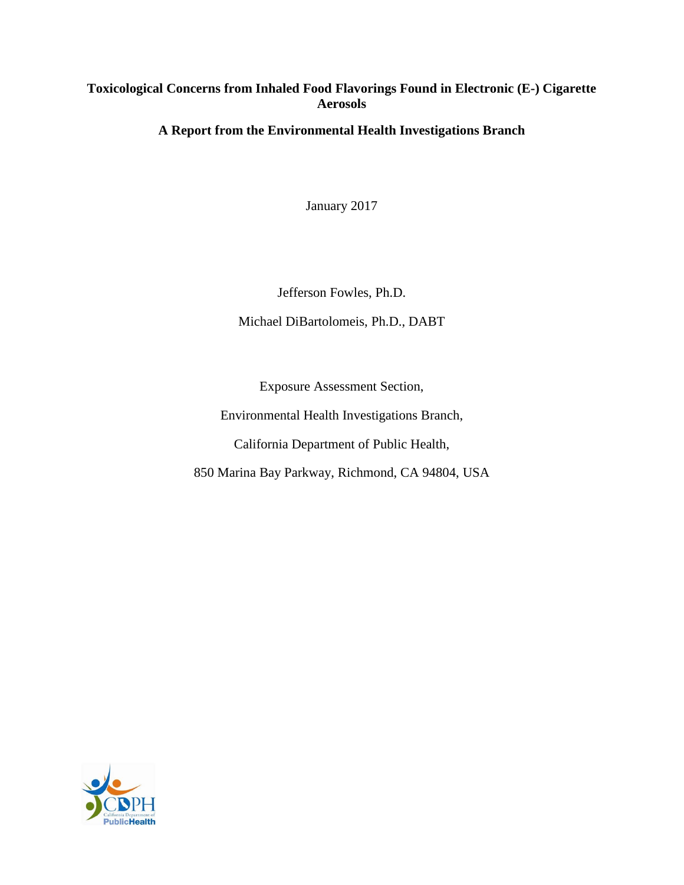# <span id="page-0-0"></span>**Toxicological Concerns from Inhaled Food Flavorings Found in Electronic (E-) Cigarette Aerosols**

# **A Report from the Environmental Health Investigations Branch**

January 2017

Jefferson Fowles, Ph.D.

Michael DiBartolomeis, Ph.D., DABT

Exposure Assessment Section,

Environmental Health Investigations Branch,

California Department of Public Health,

850 Marina Bay Parkway, Richmond, CA 94804, USA

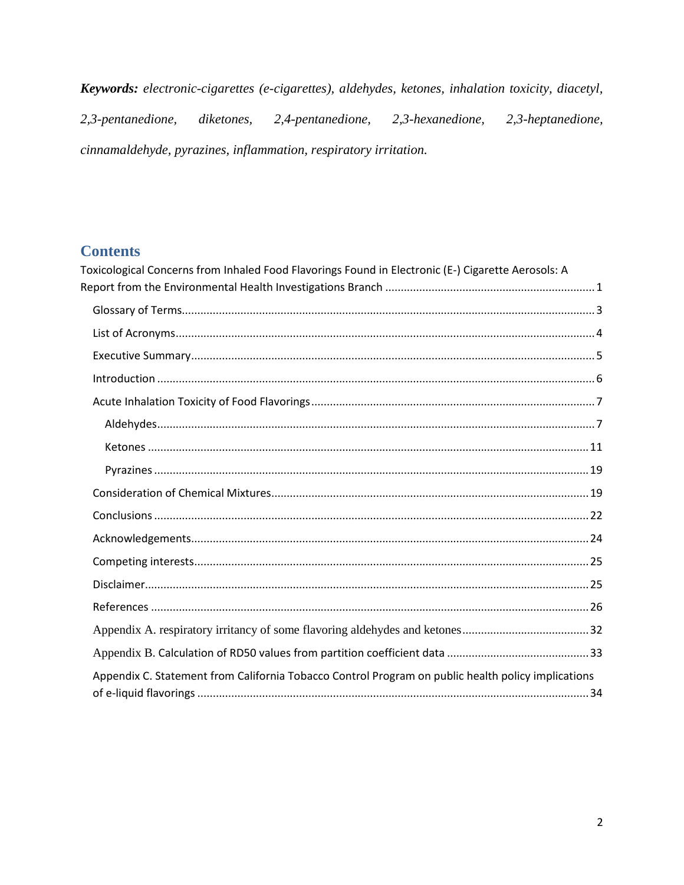Keywords: electronic-cigarettes (e-cigarettes), aldehydes, ketones, inhalation toxicity, diacetyl, 2,3-pentanedione, diketones, 2,4-pentanedione, 2,3-hexanedione, 2,3-heptanedione, cinnamaldehyde, pyrazines, inflammation, respiratory irritation.

# **Contents**

| Toxicological Concerns from Inhaled Food Flavorings Found in Electronic (E-) Cigarette Aerosols: A |  |
|----------------------------------------------------------------------------------------------------|--|
|                                                                                                    |  |
|                                                                                                    |  |
|                                                                                                    |  |
|                                                                                                    |  |
|                                                                                                    |  |
|                                                                                                    |  |
|                                                                                                    |  |
|                                                                                                    |  |
|                                                                                                    |  |
|                                                                                                    |  |
|                                                                                                    |  |
|                                                                                                    |  |
|                                                                                                    |  |
|                                                                                                    |  |
|                                                                                                    |  |
|                                                                                                    |  |
|                                                                                                    |  |
| Appendix C. Statement from California Tobacco Control Program on public health policy implications |  |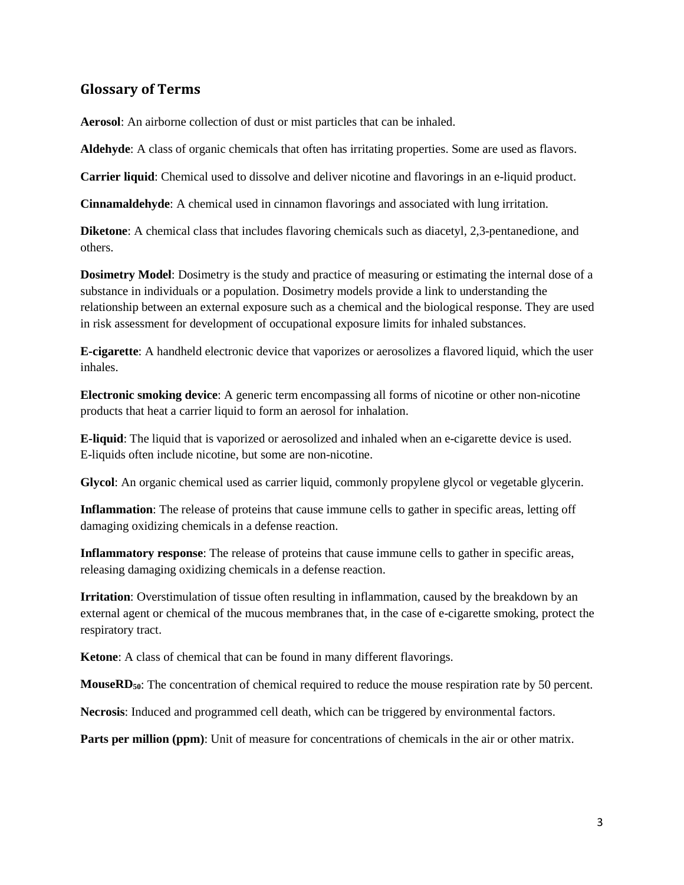## <span id="page-2-0"></span>**Glossary of Terms**

**Aerosol**: An airborne collection of dust or mist particles that can be inhaled.

**Aldehyde**: A class of organic chemicals that often has irritating properties. Some are used as flavors.

**Carrier liquid**: Chemical used to dissolve and deliver nicotine and flavorings in an e-liquid product.

**Cinnamaldehyde**: A chemical used in cinnamon flavorings and associated with lung irritation.

**Diketone**: A chemical class that includes flavoring chemicals such as diacetyl, 2,3-pentanedione, and others.

**Dosimetry Model**: Dosimetry is the study and practice of measuring or estimating the internal dose of a substance in individuals or a population. Dosimetry models provide a link to understanding the relationship between an external exposure such as a chemical and the biological response. They are used in risk assessment for development of occupational exposure limits for inhaled substances.

**E-cigarette**: A handheld electronic device that vaporizes or aerosolizes a flavored liquid, which the user inhales.

**Electronic smoking device**: A generic term encompassing all forms of nicotine or other non-nicotine products that heat a carrier liquid to form an aerosol for inhalation.

**E-liquid**: The liquid that is vaporized or aerosolized and inhaled when an e-cigarette device is used. E-liquids often include nicotine, but some are non-nicotine.

**Glycol**: An organic chemical used as carrier liquid, commonly propylene glycol or vegetable glycerin.

**Inflammation**: The release of proteins that cause immune cells to gather in specific areas, letting off damaging oxidizing chemicals in a defense reaction.

**Inflammatory response**: The release of proteins that cause immune cells to gather in specific areas, releasing damaging oxidizing chemicals in a defense reaction.

**Irritation**: Overstimulation of tissue often resulting in inflammation, caused by the breakdown by an external agent or chemical of the mucous membranes that, in the case of e-cigarette smoking, protect the respiratory tract.

**Ketone**: A class of chemical that can be found in many different flavorings.

**MouseRD<sub>50</sub>**: The concentration of chemical required to reduce the mouse respiration rate by 50 percent.

**Necrosis**: Induced and programmed cell death, which can be triggered by environmental factors.

**Parts per million (ppm)**: Unit of measure for concentrations of chemicals in the air or other matrix.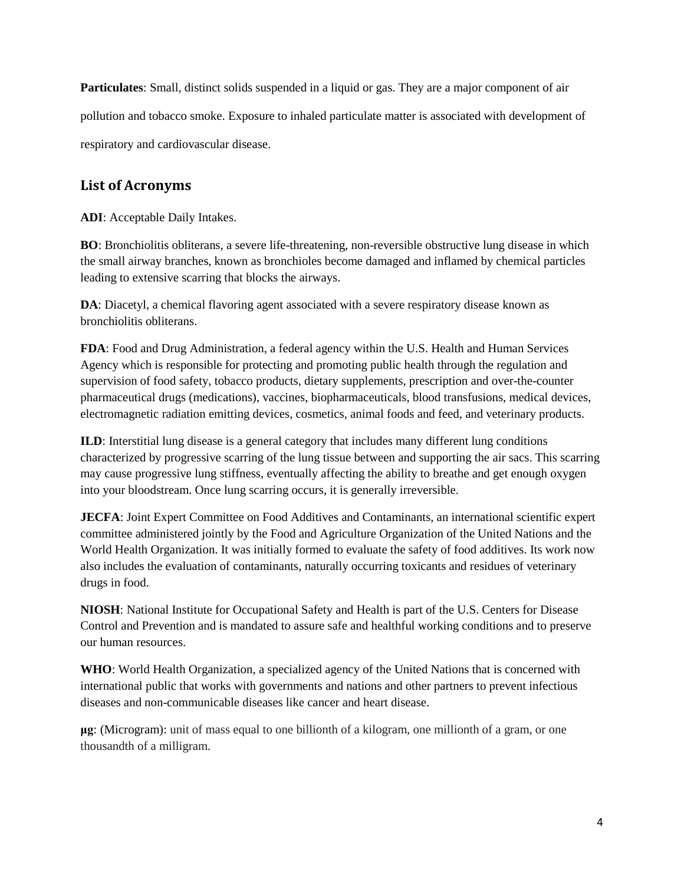**Particulates**: Small, distinct solids suspended in a liquid or gas. They are a major component of air pollution and tobacco smoke. Exposure to inhaled particulate matter is associated with development of respiratory and cardiovascular disease.

# <span id="page-3-0"></span>**List of Acronyms**

**ADI**: Acceptable Daily Intakes.

**BO**: Bronchiolitis obliterans, a severe life-threatening, non-reversible obstructive lung disease in which the small airway branches, known as bronchioles become damaged and inflamed by chemical particles leading to extensive scarring that blocks the airways.

**DA**: Diacetyl, a chemical flavoring agent associated with a severe respiratory disease known as bronchiolitis obliterans.

**FDA**: Food and Drug Administration, a federal agency within the U.S. Health and Human Services Agency which is responsible for protecting and promoting public health through the regulation and supervision of food safety, tobacco products, dietary supplements, prescription and over-the-counter pharmaceutical drugs (medications), vaccines, biopharmaceuticals, blood transfusions, medical devices, electromagnetic radiation emitting devices, cosmetics, animal foods and feed, and veterinary products.

**ILD**: Interstitial lung disease is a general category that includes many different lung conditions characterized by progressive scarring of the lung tissue between and supporting the air sacs. This scarring may cause progressive lung stiffness, eventually affecting the ability to breathe and get enough oxygen into your bloodstream. Once lung scarring occurs, it is generally irreversible.

**JECFA**: Joint Expert Committee on Food Additives and Contaminants, an international scientific expert committee administered jointly by the Food and Agriculture Organization of the United Nations and the World Health Organization. It was initially formed to evaluate the safety of food additives. Its work now also includes the evaluation of contaminants, naturally occurring toxicants and residues of veterinary drugs in food.

**NIOSH**: National Institute for Occupational Safety and Health is part of the U.S. Centers for Disease Control and Prevention and is mandated to assure safe and healthful working conditions and to preserve our human resources.

**WHO**: World Health Organization, a specialized agency of the United Nations that is concerned with international public that works with governments and nations and other partners to prevent infectious diseases and non-communicable diseases like cancer and heart disease.

**μg**: (Microgram): unit of mass equal to one billionth of a kilogram, one millionth of a gram, or one thousandth of a milligram.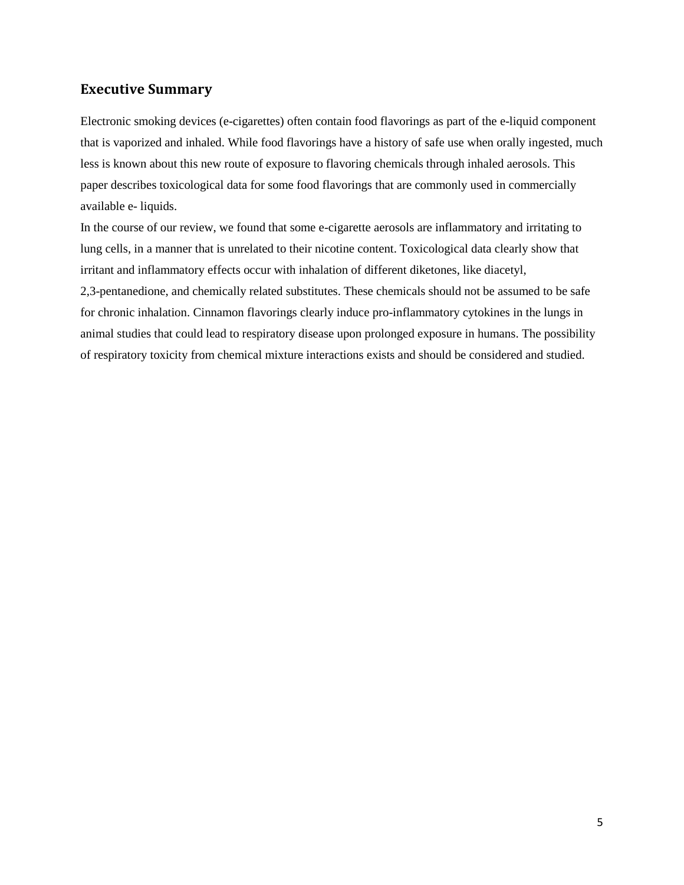## <span id="page-4-0"></span>**Executive Summary**

Electronic smoking devices (e-cigarettes) often contain food flavorings as part of the e-liquid component that is vaporized and inhaled. While food flavorings have a history of safe use when orally ingested, much less is known about this new route of exposure to flavoring chemicals through inhaled aerosols. This paper describes toxicological data for some food flavorings that are commonly used in commercially available e- liquids.

In the course of our review, we found that some e-cigarette aerosols are inflammatory and irritating to lung cells, in a manner that is unrelated to their nicotine content. Toxicological data clearly show that irritant and inflammatory effects occur with inhalation of different diketones, like diacetyl, 2,3-pentanedione, and chemically related substitutes. These chemicals should not be assumed to be safe for chronic inhalation. Cinnamon flavorings clearly induce pro-inflammatory cytokines in the lungs in animal studies that could lead to respiratory disease upon prolonged exposure in humans. The possibility of respiratory toxicity from chemical mixture interactions exists and should be considered and studied.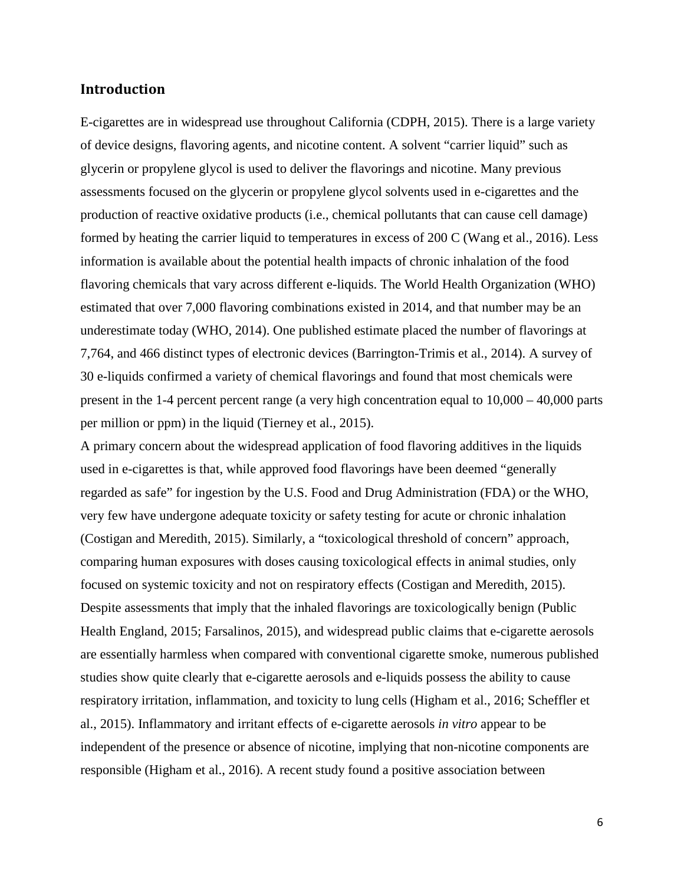## <span id="page-5-0"></span>**Introduction**

E-cigarettes are in widespread use throughout California (CDPH, 2015). There is a large variety of device designs, flavoring agents, and nicotine content. A solvent "carrier liquid" such as glycerin or propylene glycol is used to deliver the flavorings and nicotine. Many previous assessments focused on the glycerin or propylene glycol solvents used in e-cigarettes and the production of reactive oxidative products (i.e., chemical pollutants that can cause cell damage) formed by heating the carrier liquid to temperatures in excess of 200 C (Wang et al., 2016). Less information is available about the potential health impacts of chronic inhalation of the food flavoring chemicals that vary across different e-liquids. The World Health Organization (WHO) estimated that over 7,000 flavoring combinations existed in 2014, and that number may be an underestimate today (WHO, 2014). One published estimate placed the number of flavorings at 7,764, and 466 distinct types of electronic devices (Barrington-Trimis et al., 2014). A survey of 30 e-liquids confirmed a variety of chemical flavorings and found that most chemicals were present in the 1-4 percent percent range (a very high concentration equal to 10,000 – 40,000 parts per million or ppm) in the liquid (Tierney et al., 2015).

A primary concern about the widespread application of food flavoring additives in the liquids used in e-cigarettes is that, while approved food flavorings have been deemed "generally regarded as safe" for ingestion by the U.S. Food and Drug Administration (FDA) or the WHO, very few have undergone adequate toxicity or safety testing for acute or chronic inhalation (Costigan and Meredith, 2015). Similarly, a "toxicological threshold of concern" approach, comparing human exposures with doses causing toxicological effects in animal studies, only focused on systemic toxicity and not on respiratory effects (Costigan and Meredith, 2015). Despite assessments that imply that the inhaled flavorings are toxicologically benign (Public Health England, 2015; Farsalinos, 2015), and widespread public claims that e-cigarette aerosols are essentially harmless when compared with conventional cigarette smoke, numerous published studies show quite clearly that e-cigarette aerosols and e-liquids possess the ability to cause respiratory irritation, inflammation, and toxicity to lung cells (Higham et al., 2016; Scheffler et al., 2015). Inflammatory and irritant effects of e-cigarette aerosols *in vitro* appear to be independent of the presence or absence of nicotine, implying that non-nicotine components are responsible (Higham et al., 2016). A recent study found a positive association between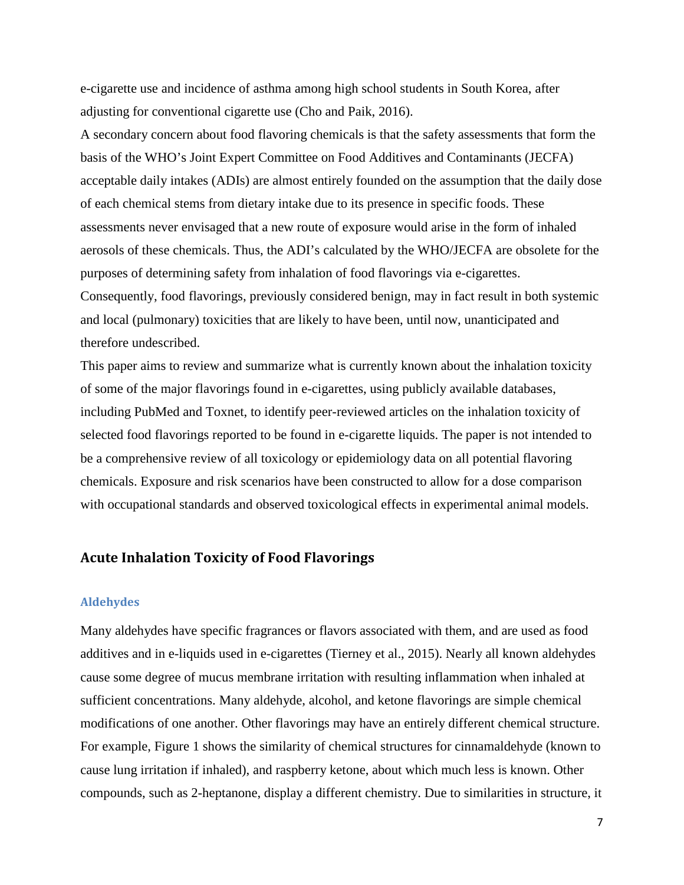e-cigarette use and incidence of asthma among high school students in South Korea, after adjusting for conventional cigarette use (Cho and Paik, 2016).

A secondary concern about food flavoring chemicals is that the safety assessments that form the basis of the WHO's Joint Expert Committee on Food Additives and Contaminants (JECFA) acceptable daily intakes (ADIs) are almost entirely founded on the assumption that the daily dose of each chemical stems from dietary intake due to its presence in specific foods. These assessments never envisaged that a new route of exposure would arise in the form of inhaled aerosols of these chemicals. Thus, the ADI's calculated by the WHO/JECFA are obsolete for the purposes of determining safety from inhalation of food flavorings via e-cigarettes. Consequently, food flavorings, previously considered benign, may in fact result in both systemic and local (pulmonary) toxicities that are likely to have been, until now, unanticipated and therefore undescribed.

This paper aims to review and summarize what is currently known about the inhalation toxicity of some of the major flavorings found in e-cigarettes, using publicly available databases, including PubMed and Toxnet, to identify peer-reviewed articles on the inhalation toxicity of selected food flavorings reported to be found in e-cigarette liquids. The paper is not intended to be a comprehensive review of all toxicology or epidemiology data on all potential flavoring chemicals. Exposure and risk scenarios have been constructed to allow for a dose comparison with occupational standards and observed toxicological effects in experimental animal models.

### <span id="page-6-0"></span>**Acute Inhalation Toxicity of Food Flavorings**

#### <span id="page-6-1"></span>**Aldehydes**

Many aldehydes have specific fragrances or flavors associated with them, and are used as food additives and in e-liquids used in e-cigarettes (Tierney et al., 2015). Nearly all known aldehydes cause some degree of mucus membrane irritation with resulting inflammation when inhaled at sufficient concentrations. Many aldehyde, alcohol, and ketone flavorings are simple chemical modifications of one another. Other flavorings may have an entirely different chemical structure. For example, Figure 1 shows the similarity of chemical structures for cinnamaldehyde (known to cause lung irritation if inhaled), and raspberry ketone, about which much less is known. Other compounds, such as 2-heptanone, display a different chemistry. Due to similarities in structure, it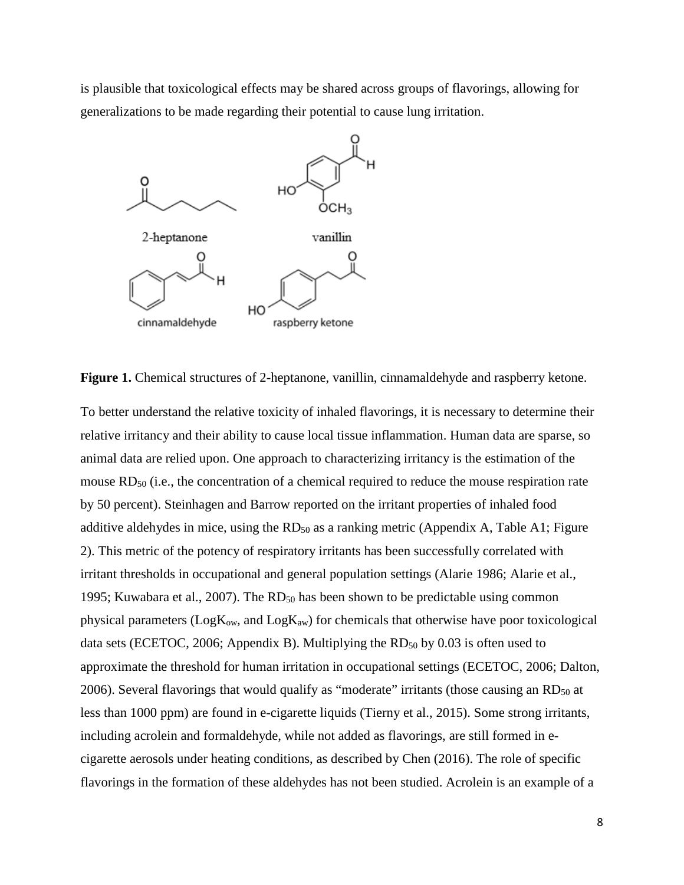is plausible that toxicological effects may be shared across groups of flavorings, allowing for generalizations to be made regarding their potential to cause lung irritation.



Figure 1. Chemical structures of 2-heptanone, vanillin, cinnamaldehyde and raspberry ketone.

To better understand the relative toxicity of inhaled flavorings, it is necessary to determine their relative irritancy and their ability to cause local tissue inflammation. Human data are sparse, so animal data are relied upon. One approach to characterizing irritancy is the estimation of the mouse RD<sub>50</sub> (i.e., the concentration of a chemical required to reduce the mouse respiration rate by 50 percent). Steinhagen and Barrow reported on the irritant properties of inhaled food additive aldehydes in mice, using the RD<sub>50</sub> as a ranking metric (Appendix A, Table A1; Figure 2). This metric of the potency of respiratory irritants has been successfully correlated with irritant thresholds in occupational and general population settings (Alarie 1986; Alarie et al., 1995; Kuwabara et al., 2007). The  $RD_{50}$  has been shown to be predictable using common physical parameters ( $Log K<sub>ow</sub>$ , and  $Log K<sub>aw</sub>$ ) for chemicals that otherwise have poor toxicological data sets (ECETOC, 2006; Appendix B). Multiplying the  $RD_{50}$  by 0.03 is often used to approximate the threshold for human irritation in occupational settings (ECETOC, 2006; Dalton, 2006). Several flavorings that would qualify as "moderate" irritants (those causing an  $RD_{50}$  at less than 1000 ppm) are found in e-cigarette liquids (Tierny et al., 2015). Some strong irritants, including acrolein and formaldehyde, while not added as flavorings, are still formed in ecigarette aerosols under heating conditions, as described by Chen (2016). The role of specific flavorings in the formation of these aldehydes has not been studied. Acrolein is an example of a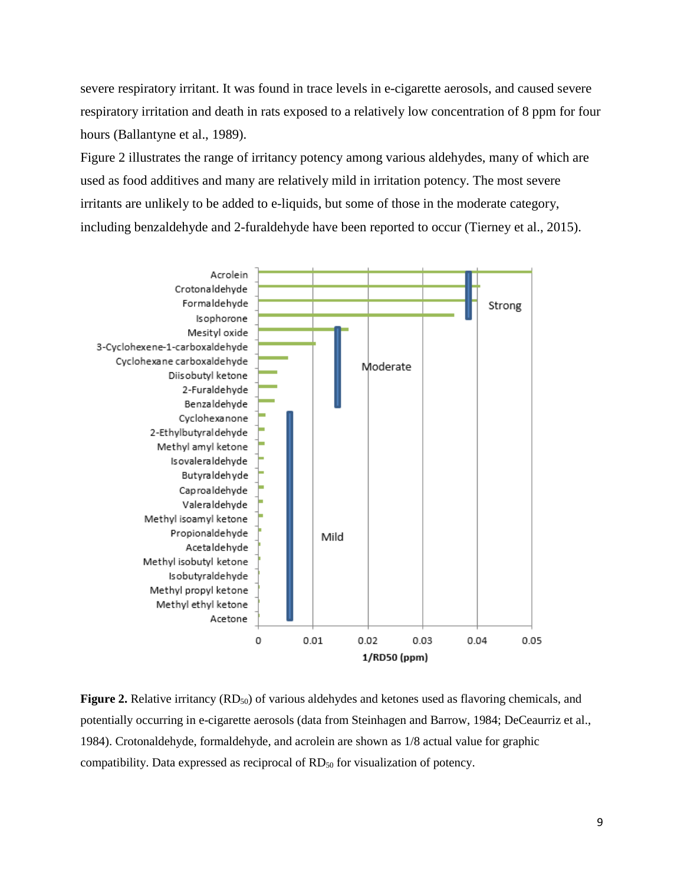severe respiratory irritant. It was found in trace levels in e-cigarette aerosols, and caused severe respiratory irritation and death in rats exposed to a relatively low concentration of 8 ppm for four hours (Ballantyne et al., 1989).

Figure 2 illustrates the range of irritancy potency among various aldehydes, many of which are used as food additives and many are relatively mild in irritation potency. The most severe irritants are unlikely to be added to e-liquids, but some of those in the moderate category, including benzaldehyde and 2-furaldehyde have been reported to occur (Tierney et al., 2015).



**Figure 2.** Relative irritancy (RD<sub>50</sub>) of various aldehydes and ketones used as flavoring chemicals, and potentially occurring in e-cigarette aerosols (data from Steinhagen and Barrow, 1984; DeCeaurriz et al., 1984). Crotonaldehyde, formaldehyde, and acrolein are shown as 1/8 actual value for graphic compatibility. Data expressed as reciprocal of RD<sub>50</sub> for visualization of potency.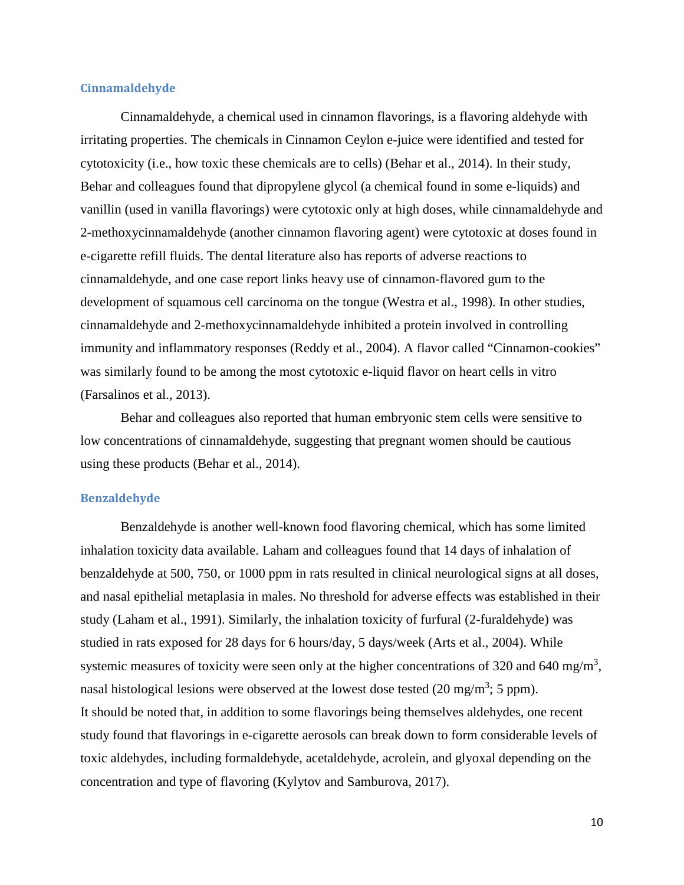#### **Cinnamaldehyde**

Cinnamaldehyde, a chemical used in cinnamon flavorings, is a flavoring aldehyde with irritating properties. The chemicals in Cinnamon Ceylon e-juice were identified and tested for cytotoxicity (i.e., how toxic these chemicals are to cells) (Behar et al., 2014). In their study, Behar and colleagues found that dipropylene glycol (a chemical found in some e-liquids) and vanillin (used in vanilla flavorings) were cytotoxic only at high doses, while cinnamaldehyde and 2-methoxycinnamaldehyde (another cinnamon flavoring agent) were cytotoxic at doses found in e-cigarette refill fluids. The dental literature also has reports of adverse reactions to cinnamaldehyde, and one case report links heavy use of cinnamon-flavored gum to the development of squamous cell carcinoma on the tongue (Westra et al., 1998). In other studies, cinnamaldehyde and 2-methoxycinnamaldehyde inhibited a protein involved in controlling immunity and inflammatory responses (Reddy et al., 2004). A flavor called "Cinnamon-cookies" was similarly found to be among the most cytotoxic e-liquid flavor on heart cells in vitro (Farsalinos et al., 2013).

Behar and colleagues also reported that human embryonic stem cells were sensitive to low concentrations of cinnamaldehyde, suggesting that pregnant women should be cautious using these products (Behar et al., 2014).

#### **Benzaldehyde**

Benzaldehyde is another well-known food flavoring chemical, which has some limited inhalation toxicity data available. Laham and colleagues found that 14 days of inhalation of benzaldehyde at 500, 750, or 1000 ppm in rats resulted in clinical neurological signs at all doses, and nasal epithelial metaplasia in males. No threshold for adverse effects was established in their study (Laham et al., 1991). Similarly, the inhalation toxicity of furfural (2-furaldehyde) was studied in rats exposed for 28 days for 6 hours/day, 5 days/week (Arts et al., 2004). While systemic measures of toxicity were seen only at the higher concentrations of 320 and 640 mg/m<sup>3</sup>, nasal histological lesions were observed at the lowest dose tested  $(20 \text{ mg/m}^3; 5 \text{ ppm})$ . It should be noted that, in addition to some flavorings being themselves aldehydes, one recent study found that flavorings in e-cigarette aerosols can break down to form considerable levels of toxic aldehydes, including formaldehyde, acetaldehyde, acrolein, and glyoxal depending on the concentration and type of flavoring (Kylytov and Samburova, 2017).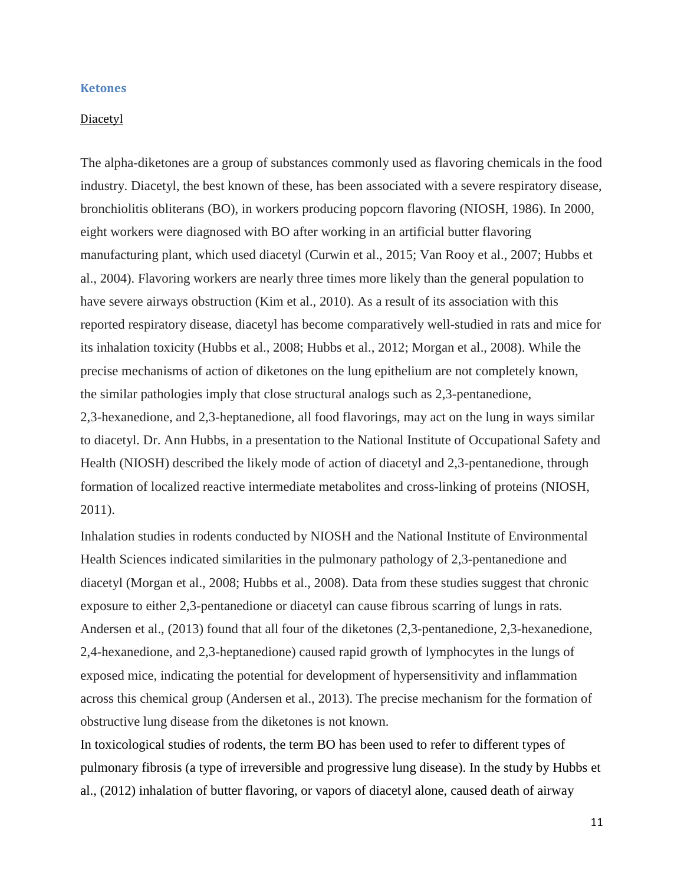#### <span id="page-10-0"></span>**Ketones**

#### Diacetyl

The alpha-diketones are a group of substances commonly used as flavoring chemicals in the food industry. Diacetyl, the best known of these, has been associated with a severe respiratory disease, bronchiolitis obliterans (BO), in workers producing popcorn flavoring (NIOSH, 1986). In 2000, eight workers were diagnosed with BO after working in an artificial butter flavoring manufacturing plant, which used diacetyl (Curwin et al., 2015; Van Rooy et al., 2007; Hubbs et al., 2004). Flavoring workers are nearly three times more likely than the general population to have severe airways obstruction (Kim et al., 2010). As a result of its association with this reported respiratory disease, diacetyl has become comparatively well-studied in rats and mice for its inhalation toxicity (Hubbs et al., 2008; Hubbs et al., 2012; Morgan et al., 2008). While the precise mechanisms of action of diketones on the lung epithelium are not completely known, the similar pathologies imply that close structural analogs such as 2,3-pentanedione, 2,3-hexanedione, and 2,3-heptanedione, all food flavorings, may act on the lung in ways similar to diacetyl. Dr. Ann Hubbs, in a presentation to the National Institute of Occupational Safety and Health (NIOSH) described the likely mode of action of diacetyl and 2,3-pentanedione, through formation of localized reactive intermediate metabolites and cross-linking of proteins (NIOSH, 2011).

Inhalation studies in rodents conducted by NIOSH and the National Institute of Environmental Health Sciences indicated similarities in the pulmonary pathology of 2,3-pentanedione and diacetyl (Morgan et al., 2008; Hubbs et al., 2008). Data from these studies suggest that chronic exposure to either 2,3-pentanedione or diacetyl can cause fibrous scarring of lungs in rats. Andersen et al., (2013) found that all four of the diketones (2,3-pentanedione, 2,3-hexanedione, 2,4-hexanedione, and 2,3-heptanedione) caused rapid growth of lymphocytes in the lungs of exposed mice, indicating the potential for development of hypersensitivity and inflammation across this chemical group (Andersen et al., 2013). The precise mechanism for the formation of obstructive lung disease from the diketones is not known.

In toxicological studies of rodents, the term BO has been used to refer to different types of pulmonary fibrosis (a type of irreversible and progressive lung disease). In the study by Hubbs et al., (2012) inhalation of butter flavoring, or vapors of diacetyl alone, caused death of airway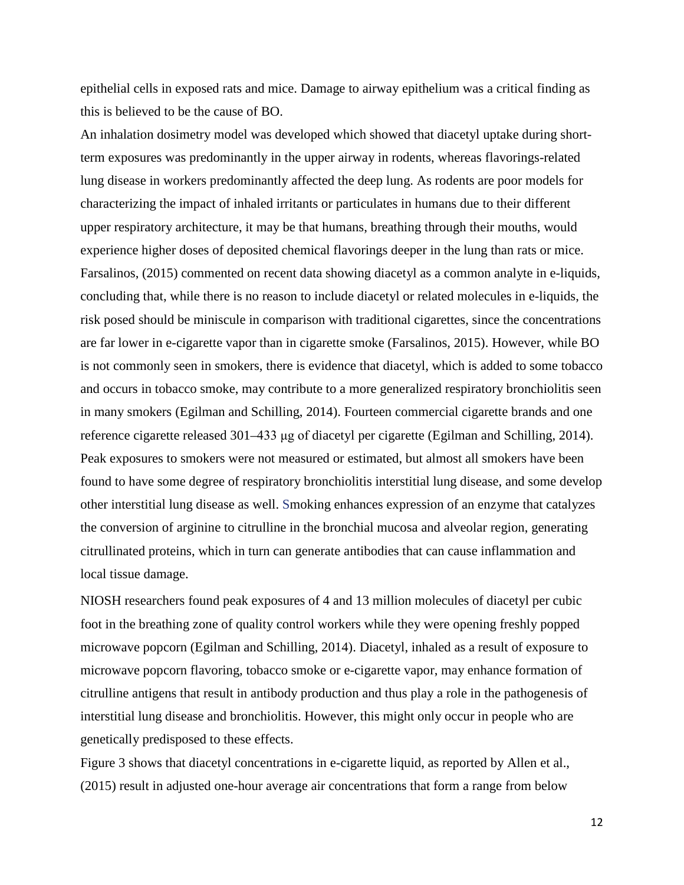epithelial cells in exposed rats and mice. Damage to airway epithelium was a critical finding as this is believed to be the cause of BO.

An inhalation dosimetry model was developed which showed that diacetyl uptake during shortterm exposures was predominantly in the upper airway in rodents, whereas flavorings-related lung disease in workers predominantly affected the deep lung. As rodents are poor models for characterizing the impact of inhaled irritants or particulates in humans due to their different upper respiratory architecture, it may be that humans, breathing through their mouths, would experience higher doses of deposited chemical flavorings deeper in the lung than rats or mice. Farsalinos, (2015) commented on recent data showing diacetyl as a common analyte in e-liquids, concluding that, while there is no reason to include diacetyl or related molecules in e-liquids, the risk posed should be miniscule in comparison with traditional cigarettes, since the concentrations are far lower in e-cigarette vapor than in cigarette smoke (Farsalinos, 2015). However, while BO is not commonly seen in smokers, there is evidence that diacetyl, which is added to some tobacco and occurs in tobacco smoke, may contribute to a more generalized respiratory bronchiolitis seen in many smokers (Egilman and Schilling, 2014). Fourteen commercial cigarette brands and one reference cigarette released 301–433 μg of diacetyl per cigarette (Egilman and Schilling, 2014). Peak exposures to smokers were not measured or estimated, but almost all smokers have been found to have some degree of respiratory bronchiolitis interstitial lung disease, and some develop other interstitial lung disease as well. Smoking enhances expression of an enzyme that catalyzes the conversion of arginine to citrulline in the bronchial mucosa and alveolar region, generating citrullinated proteins, which in turn can generate antibodies that can cause inflammation and local tissue damage.

NIOSH researchers found peak exposures of 4 and 13 million molecules of diacetyl per cubic foot in the breathing zone of quality control workers while they were opening freshly popped microwave popcorn (Egilman and Schilling, 2014). Diacetyl, inhaled as a result of exposure to microwave popcorn flavoring, tobacco smoke or e-cigarette vapor, may enhance formation of citrulline antigens that result in antibody production and thus play a role in the pathogenesis of interstitial lung disease and bronchiolitis. However, this might only occur in people who are genetically predisposed to these effects.

Figure 3 shows that diacetyl concentrations in e-cigarette liquid, as reported by Allen et al., (2015) result in adjusted one-hour average air concentrations that form a range from below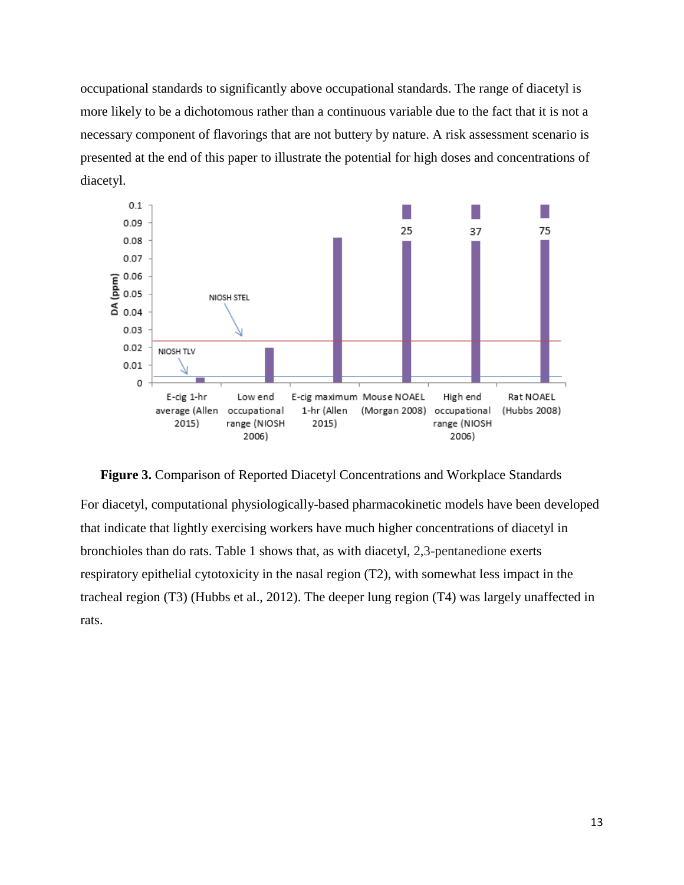occupational standards to significantly above occupational standards. The range of diacetyl is more likely to be a dichotomous rather than a continuous variable due to the fact that it is not a necessary component of flavorings that are not buttery by nature. A risk assessment scenario is presented at the end of this paper to illustrate the potential for high doses and concentrations of diacetyl.



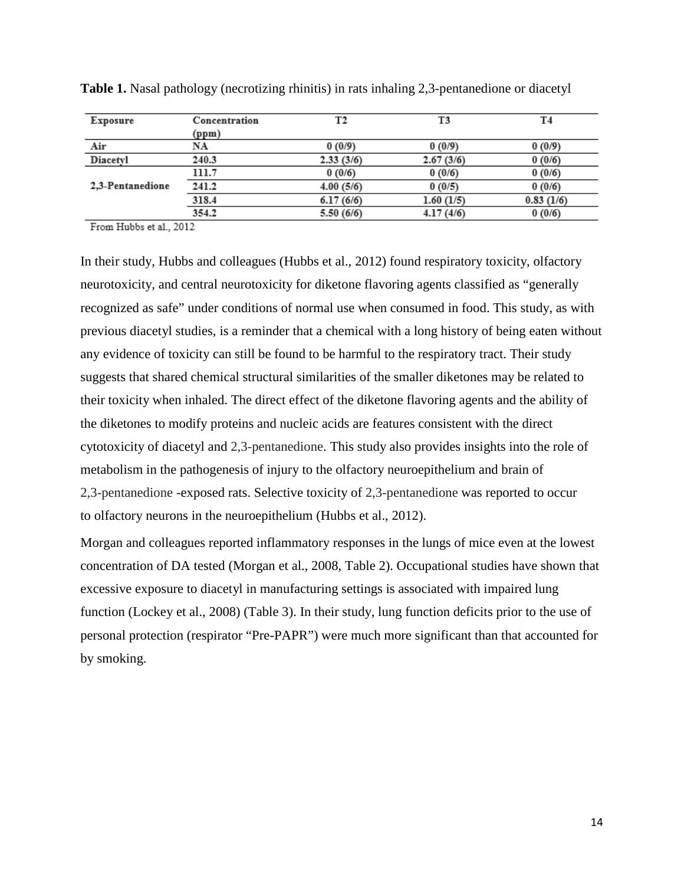| Exposure         | Concentration | T2        | T3        | T4        |
|------------------|---------------|-----------|-----------|-----------|
|                  | (ppm)         |           |           |           |
| Air              | NA            | 0(0/9)    | 0(0/9)    | 0(0/9)    |
| Diacetyl         | 240.3         | 2.33(3/6) | 2.67(3/6) | 0(0/6)    |
|                  | 111.7         | 0(0/6)    | 0(0/6)    | 0(0/6)    |
| 2.3-Pentanedione | 241.2         | 4.00(5/6) | 0(0/5)    | 0(0/6)    |
|                  | 318.4         | 6.17(6/6) | 1.60(1/5) | 0.83(1/6) |
|                  | 354.2         | 5.50(6/6) | 4.17(4/6) | 0(0/6)    |

**Table 1.** Nasal pathology (necrotizing rhinitis) in rats inhaling 2,3-pentanedione or diacetyl

From Hubbs et al., 2012

In their study, Hubbs and colleagues (Hubbs et al., 2012) found respiratory toxicity, olfactory neurotoxicity, and central neurotoxicity for diketone flavoring agents classified as "generally recognized as safe" under conditions of normal use when consumed in food. This study, as with previous diacetyl studies, is a reminder that a chemical with a long history of being eaten without any evidence of toxicity can still be found to be harmful to the respiratory tract. Their study suggests that shared chemical structural similarities of the smaller diketones may be related to their toxicity when inhaled. The direct effect of the diketone flavoring agents and the ability of the diketones to modify proteins and nucleic acids are features consistent with the direct cytotoxicity of diacetyl and 2,3-pentanedione. This study also provides insights into the role of metabolism in the pathogenesis of injury to the olfactory neuroepithelium and brain of 2,3-pentanedione -exposed rats. Selective toxicity of 2,3-pentanedione was reported to occur to olfactory neurons in the neuroepithelium (Hubbs et al., 2012).

Morgan and colleagues reported inflammatory responses in the lungs of mice even at the lowest concentration of DA tested (Morgan et al., 2008, Table 2). Occupational studies have shown that excessive exposure to diacetyl in manufacturing settings is associated with impaired lung function (Lockey et al., 2008) (Table 3). In their study, lung function deficits prior to the use of personal protection (respirator "Pre-PAPR") were much more significant than that accounted for by smoking.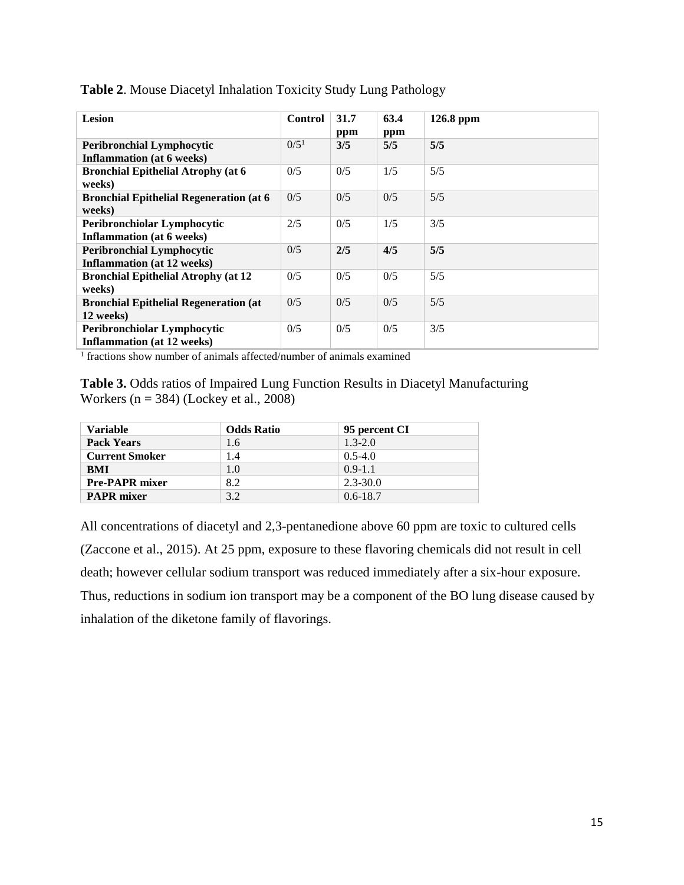| Lesion                                                                | <b>Control</b>   | 31.7<br>ppm | 63.4<br>ppm | $126.8$ ppm |
|-----------------------------------------------------------------------|------------------|-------------|-------------|-------------|
| <b>Peribronchial Lymphocytic</b><br><b>Inflammation</b> (at 6 weeks)  | 0/5 <sup>1</sup> | 3/5         | 5/5         | 5/5         |
| <b>Bronchial Epithelial Atrophy (at 6</b><br>weeks)                   | 0/5              | 0/5         | 1/5         | 5/5         |
| <b>Bronchial Epithelial Regeneration (at 6)</b><br>weeks)             | 0/5              | 0/5         | 0/5         | 5/5         |
| Peribronchiolar Lymphocytic<br><b>Inflammation</b> (at 6 weeks)       | 2/5              | 0/5         | 1/5         | 3/5         |
| <b>Peribronchial Lymphocytic</b><br><b>Inflammation</b> (at 12 weeks) | 0/5              | 2/5         | 4/5         | 5/5         |
| <b>Bronchial Epithelial Atrophy (at 12</b><br>weeks)                  | 0/5              | 0/5         | 0/5         | 5/5         |
| <b>Bronchial Epithelial Regeneration (at</b><br>12 weeks)             | 0/5              | 0/5         | 0/5         | 5/5         |
| Peribronchiolar Lymphocytic<br><b>Inflammation</b> (at 12 weeks)      | 0/5              | 0/5         | 0/5         | 3/5         |

**Table 2**. Mouse Diacetyl Inhalation Toxicity Study Lung Pathology

<sup>1</sup> fractions show number of animals affected/number of animals examined

**Table 3.** Odds ratios of Impaired Lung Function Results in Diacetyl Manufacturing Workers ( $n = 384$ ) (Lockey et al., 2008)

| <b>Variable</b>       | <b>Odds Ratio</b> | 95 percent CI |
|-----------------------|-------------------|---------------|
| <b>Pack Years</b>     | 1.6               | $1.3 - 2.0$   |
| <b>Current Smoker</b> | 1.4               | $0.5 - 4.0$   |
| <b>BMI</b>            | 1.0               | $0.9 - 1.1$   |
| <b>Pre-PAPR mixer</b> | 8.2               | $2.3 - 30.0$  |
| <b>PAPR</b> mixer     | 3.2               | $0.6 - 18.7$  |

All concentrations of diacetyl and 2,3-pentanedione above 60 ppm are toxic to cultured cells (Zaccone et al., 2015). At 25 ppm, exposure to these flavoring chemicals did not result in cell death; however cellular sodium transport was reduced immediately after a six-hour exposure. Thus, reductions in sodium ion transport may be a component of the BO lung disease caused by inhalation of the diketone family of flavorings.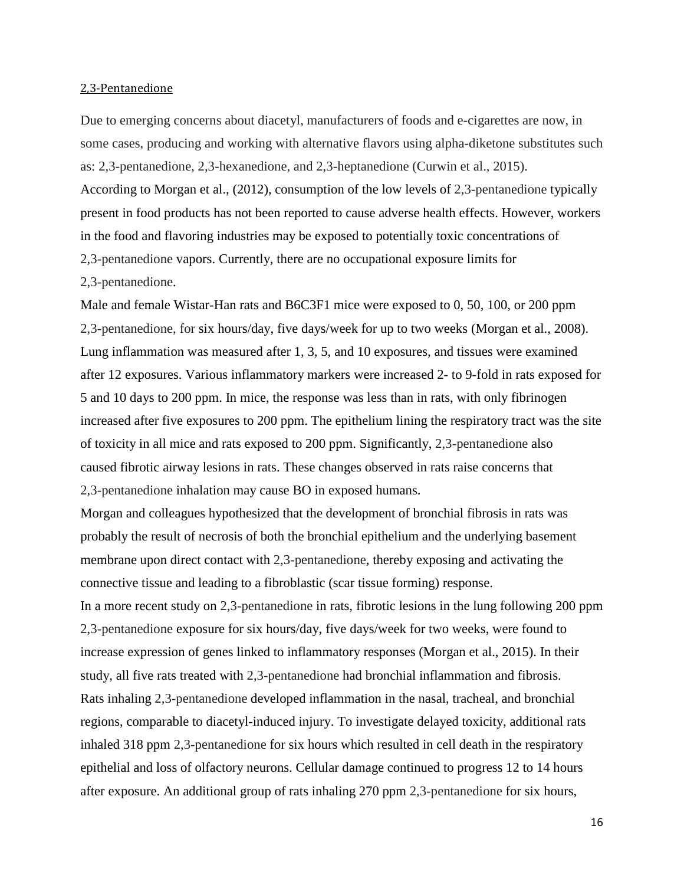#### 2,3-Pentanedione

Due to emerging concerns about diacetyl, manufacturers of foods and e-cigarettes are now, in some cases, producing and working with alternative flavors using alpha-diketone substitutes such as: 2,3-pentanedione, 2,3-hexanedione, and 2,3-heptanedione (Curwin et al., 2015). According to Morgan et al., (2012), consumption of the low levels of 2,3-pentanedione typically present in food products has not been reported to cause adverse health effects. However, workers in the food and flavoring industries may be exposed to potentially toxic concentrations of 2,3-pentanedione vapors. Currently, there are no occupational exposure limits for 2,3-pentanedione.

Male and female Wistar-Han rats and B6C3F1 mice were exposed to 0, 50, 100, or 200 ppm 2,3-pentanedione, for six hours/day, five days/week for up to two weeks (Morgan et al., 2008). Lung inflammation was measured after 1, 3, 5, and 10 exposures, and tissues were examined after 12 exposures. Various inflammatory markers were increased 2- to 9-fold in rats exposed for 5 and 10 days to 200 ppm. In mice, the response was less than in rats, with only fibrinogen increased after five exposures to 200 ppm. The epithelium lining the respiratory tract was the site of toxicity in all mice and rats exposed to 200 ppm. Significantly, 2,3-pentanedione also caused fibrotic airway lesions in rats. These changes observed in rats raise concerns that 2,3-pentanedione inhalation may cause BO in exposed humans.

Morgan and colleagues hypothesized that the development of bronchial fibrosis in rats was probably the result of necrosis of both the bronchial epithelium and the underlying basement membrane upon direct contact with 2,3-pentanedione, thereby exposing and activating the connective tissue and leading to a fibroblastic (scar tissue forming) response.

In a more recent study on 2,3-pentanedione in rats, fibrotic lesions in the lung following 200 ppm 2,3-pentanedione exposure for six hours/day, five days/week for two weeks, were found to increase expression of genes linked to inflammatory responses (Morgan et al., 2015). In their study, all five rats treated with 2,3-pentanedione had bronchial inflammation and fibrosis. Rats inhaling 2,3-pentanedione developed inflammation in the nasal, tracheal, and bronchial regions, comparable to diacetyl-induced injury. To investigate delayed toxicity, additional rats inhaled 318 ppm 2,3-pentanedione for six hours which resulted in cell death in the respiratory epithelial and loss of olfactory neurons. Cellular damage continued to progress 12 to 14 hours after exposure. An additional group of rats inhaling 270 ppm 2,3-pentanedione for six hours,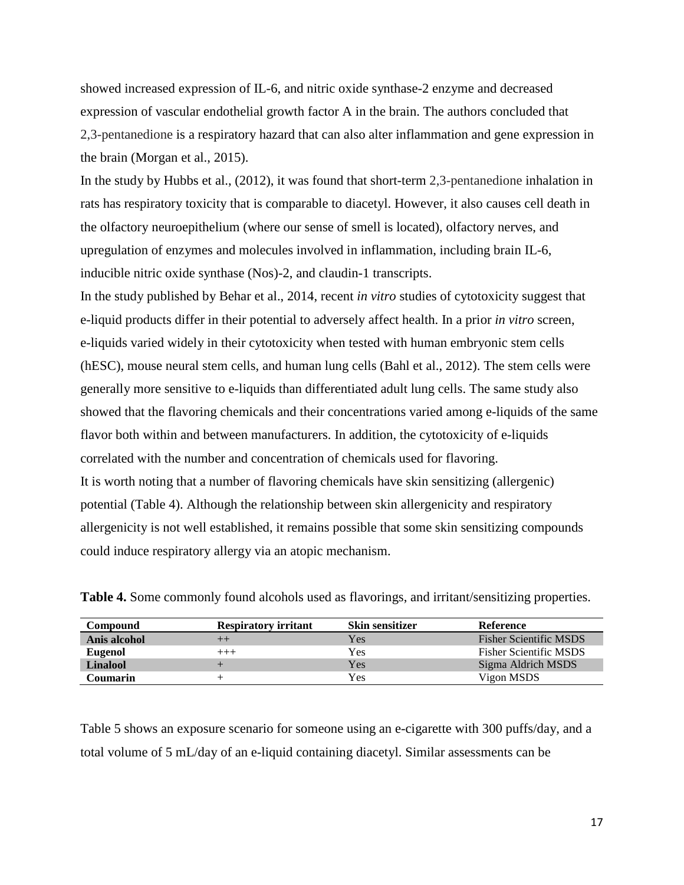showed increased expression of IL-6, and nitric oxide synthase-2 enzyme and decreased expression of vascular endothelial growth factor A in the brain. The authors concluded that 2,3-pentanedione is a respiratory hazard that can also alter inflammation and gene expression in the brain (Morgan et al., 2015).

In the study by Hubbs et al., (2012), it was found that short-term 2,3-pentanedione inhalation in rats has respiratory toxicity that is comparable to diacetyl. However, it also causes cell death in the olfactory neuroepithelium (where our sense of smell is located), olfactory nerves, and upregulation of enzymes and molecules involved in inflammation, including brain IL-6, inducible nitric oxide synthase (Nos)-2, and claudin-1 transcripts.

In the study published by Behar et al., 2014, recent *in vitro* studies of cytotoxicity suggest that e-liquid products differ in their potential to adversely affect health. In a prior *in vitro* screen, e-liquids varied widely in their cytotoxicity when tested with human embryonic stem cells (hESC), mouse neural stem cells, and human lung cells (Bahl et al., 2012). The stem cells were generally more sensitive to e-liquids than differentiated adult lung cells. The same study also showed that the flavoring chemicals and their concentrations varied among e-liquids of the same flavor both within and between manufacturers. In addition, the cytotoxicity of e-liquids correlated with the number and concentration of chemicals used for flavoring. It is worth noting that a number of flavoring chemicals have skin sensitizing (allergenic) potential (Table 4). Although the relationship between skin allergenicity and respiratory allergenicity is not well established, it remains possible that some skin sensitizing compounds could induce respiratory allergy via an atopic mechanism.

| Compound       | <b>Respiratory irritant</b> | <b>Skin sensitizer</b> | <b>Reference</b>              |
|----------------|-----------------------------|------------------------|-------------------------------|
| Anis alcohol   | $^{++}$                     | Yes                    | <b>Fisher Scientific MSDS</b> |
| <b>Eugenol</b> | $^{+++}$                    | Yes                    | <b>Fisher Scientific MSDS</b> |
| Linalool       |                             | Yes                    | Sigma Aldrich MSDS            |
| Coumarin       |                             | Yes                    | Vigon MSDS                    |

**Table 4.** Some commonly found alcohols used as flavorings, and irritant/sensitizing properties.

Table 5 shows an exposure scenario for someone using an e-cigarette with 300 puffs/day, and a total volume of 5 mL/day of an e-liquid containing diacetyl. Similar assessments can be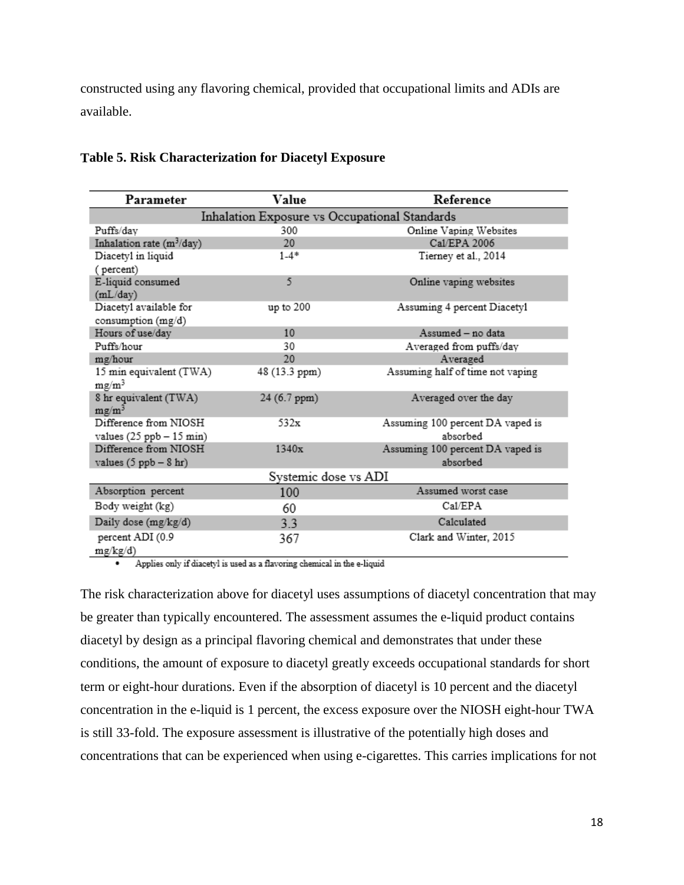constructed using any flavoring chemical, provided that occupational limits and ADIs are available.

| Parameter                                     | Value         | Reference                        |  |  |  |
|-----------------------------------------------|---------------|----------------------------------|--|--|--|
| Inhalation Exposure vs Occupational Standards |               |                                  |  |  |  |
| Puffs/day                                     | 300           | Online Vaping Websites           |  |  |  |
| Inhalation rate $(m^3/day)$                   | 20            | Cal/EPA 2006                     |  |  |  |
| Diacetyl in liquid                            | $1 - 4*$      | Tierney et al., 2014             |  |  |  |
| (percent)                                     |               |                                  |  |  |  |
| E-liquid consumed                             | 5             | Online vaping websites           |  |  |  |
| (mL/day)                                      |               |                                  |  |  |  |
| Diacetyl available for                        | up to $200$   | Assuming 4 percent Diacetyl      |  |  |  |
| consumption (mg/d)                            |               |                                  |  |  |  |
| Hours of use/day                              | 10            | Assumed - no data                |  |  |  |
| Puffs/hour                                    | 30            | Averaged from puffs/day          |  |  |  |
| mg/hour                                       | 20            | Averaged                         |  |  |  |
| 15 min equivalent (TWA)                       | 48 (13.3 ppm) | Assuming half of time not vaping |  |  |  |
| $mg/m^3$                                      |               |                                  |  |  |  |
| 8 hr equivalent (TWA)<br>$mg/m^3$             | 24 (6.7 ppm)  | Averaged over the day            |  |  |  |
| Difference from NIOSH                         | 532x          | Assuming 100 percent DA vaped is |  |  |  |
| values $(25$ ppb $- 15$ min)                  |               | absorbed                         |  |  |  |
| Difference from NIOSH                         | 1340x         | Assuming 100 percent DA vaped is |  |  |  |
| values $(5$ ppb $- 8$ hr)                     |               | absorbed                         |  |  |  |
| Systemic dose vs ADI                          |               |                                  |  |  |  |
| Absorption percent                            | 100           | Assumed worst case               |  |  |  |
| Body weight (kg)                              | 60            | Cal/EPA                          |  |  |  |
| Daily dose (mg/kg/d)                          | 3.3           | Calculated                       |  |  |  |
| percent ADI (0.9                              | 367           | Clark and Winter, 2015           |  |  |  |
| mg/kg/d)                                      |               |                                  |  |  |  |

#### **Table 5. Risk Characterization for Diacetyl Exposure**

Applies only if diacetyl is used as a flavoring chemical in the e-liquid  $\cdot$ 

The risk characterization above for diacetyl uses assumptions of diacetyl concentration that may be greater than typically encountered. The assessment assumes the e-liquid product contains diacetyl by design as a principal flavoring chemical and demonstrates that under these conditions, the amount of exposure to diacetyl greatly exceeds occupational standards for short term or eight-hour durations. Even if the absorption of diacetyl is 10 percent and the diacetyl concentration in the e-liquid is 1 percent, the excess exposure over the NIOSH eight-hour TWA is still 33-fold. The exposure assessment is illustrative of the potentially high doses and concentrations that can be experienced when using e-cigarettes. This carries implications for not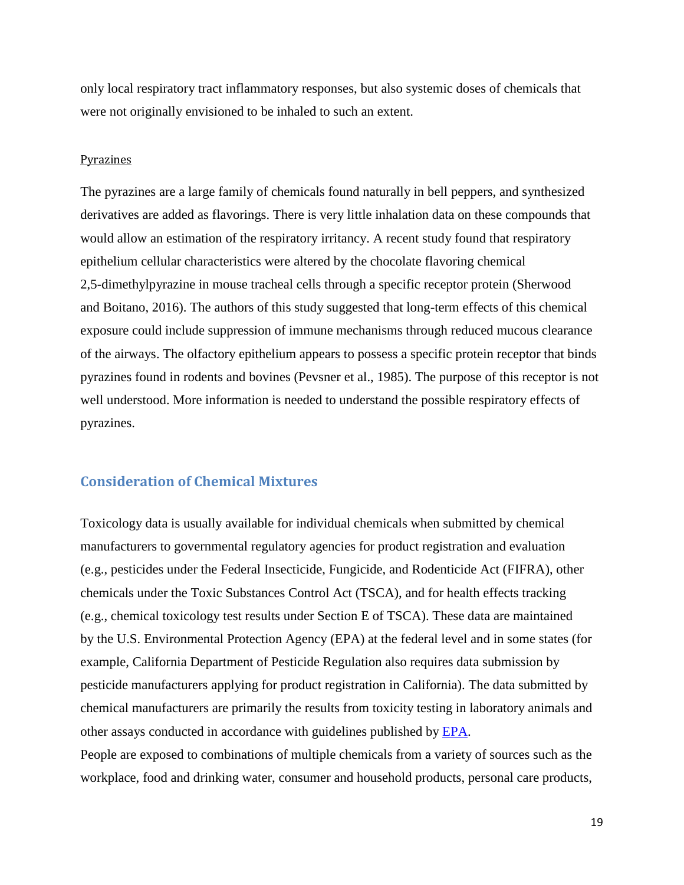only local respiratory tract inflammatory responses, but also systemic doses of chemicals that were not originally envisioned to be inhaled to such an extent.

#### <span id="page-18-0"></span>Pyrazines

The pyrazines are a large family of chemicals found naturally in bell peppers, and synthesized derivatives are added as flavorings. There is very little inhalation data on these compounds that would allow an estimation of the respiratory irritancy. A recent study found that respiratory epithelium cellular characteristics were altered by the chocolate flavoring chemical 2,5-dimethylpyrazine in mouse tracheal cells through a specific receptor protein (Sherwood and Boitano, 2016). The authors of this study suggested that long-term effects of this chemical exposure could include suppression of immune mechanisms through reduced mucous clearance of the airways. The olfactory epithelium appears to possess a specific protein receptor that binds pyrazines found in rodents and bovines (Pevsner et al., 1985). The purpose of this receptor is not well understood. More information is needed to understand the possible respiratory effects of pyrazines.

# <span id="page-18-1"></span>**Consideration of Chemical Mixtures**

Toxicology data is usually available for individual chemicals when submitted by chemical manufacturers to governmental regulatory agencies for product registration and evaluation (e.g., pesticides under the Federal Insecticide, Fungicide, and Rodenticide Act (FIFRA), other chemicals under the Toxic Substances Control Act (TSCA), and for health effects tracking (e.g., chemical toxicology test results under Section E of TSCA). These data are maintained by the U.S. Environmental Protection Agency (EPA) at the federal level and in some states (for example, California Department of Pesticide Regulation also requires data submission by pesticide manufacturers applying for product registration in California). The data submitted by chemical manufacturers are primarily the results from toxicity testing in laboratory animals and other assays conducted in accordance with guidelines published by [EPA.](https://www.epa.gov/test-guidelines-pesticides-and-toxic-substances/final-test-guidelines-pesticides-and-toxic)

People are exposed to combinations of multiple chemicals from a variety of sources such as the workplace, food and drinking water, consumer and household products, personal care products,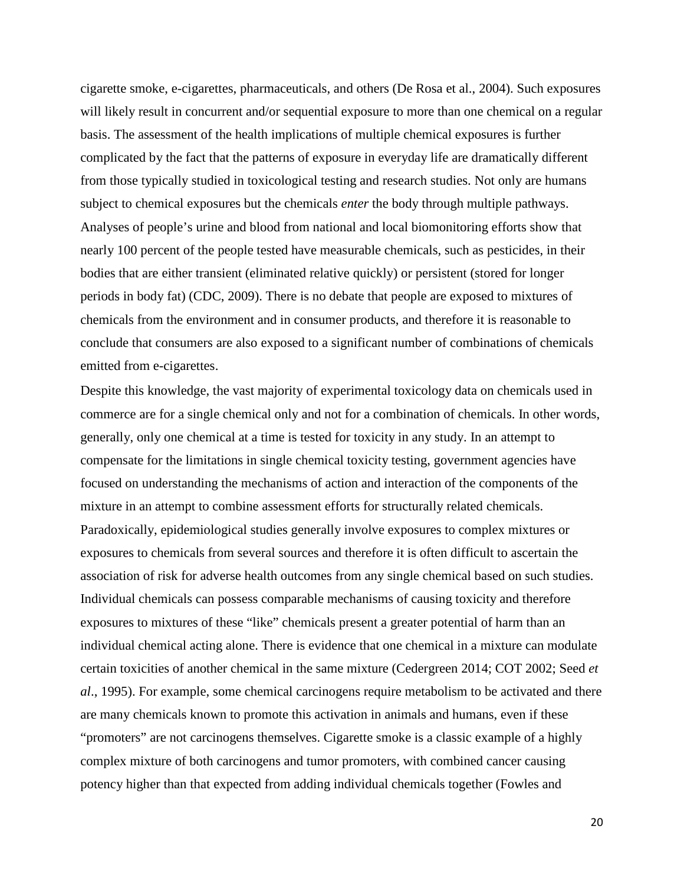cigarette smoke, e-cigarettes, pharmaceuticals, and others (De Rosa et al., 2004). Such exposures will likely result in concurrent and/or sequential exposure to more than one chemical on a regular basis. The assessment of the health implications of multiple chemical exposures is further complicated by the fact that the patterns of exposure in everyday life are dramatically different from those typically studied in toxicological testing and research studies. Not only are humans subject to chemical exposures but the chemicals *enter* the body through multiple pathways. Analyses of people's urine and blood from national and local biomonitoring efforts show that nearly 100 percent of the people tested have measurable chemicals, such as pesticides, in their bodies that are either transient (eliminated relative quickly) or persistent (stored for longer periods in body fat) (CDC, 2009). There is no debate that people are exposed to mixtures of chemicals from the environment and in consumer products, and therefore it is reasonable to conclude that consumers are also exposed to a significant number of combinations of chemicals emitted from e-cigarettes.

Despite this knowledge, the vast majority of experimental toxicology data on chemicals used in commerce are for a single chemical only and not for a combination of chemicals. In other words, generally, only one chemical at a time is tested for toxicity in any study. In an attempt to compensate for the limitations in single chemical toxicity testing, government agencies have focused on understanding the mechanisms of action and interaction of the components of the mixture in an attempt to combine assessment efforts for structurally related chemicals. Paradoxically, epidemiological studies generally involve exposures to complex mixtures or exposures to chemicals from several sources and therefore it is often difficult to ascertain the association of risk for adverse health outcomes from any single chemical based on such studies. Individual chemicals can possess comparable mechanisms of causing toxicity and therefore exposures to mixtures of these "like" chemicals present a greater potential of harm than an individual chemical acting alone. There is evidence that one chemical in a mixture can modulate certain toxicities of another chemical in the same mixture (Cedergreen 2014; COT 2002; Seed *et al*., 1995). For example, some chemical carcinogens require metabolism to be activated and there are many chemicals known to promote this activation in animals and humans, even if these "promoters" are not carcinogens themselves. Cigarette smoke is a classic example of a highly complex mixture of both carcinogens and tumor promoters, with combined cancer causing potency higher than that expected from adding individual chemicals together (Fowles and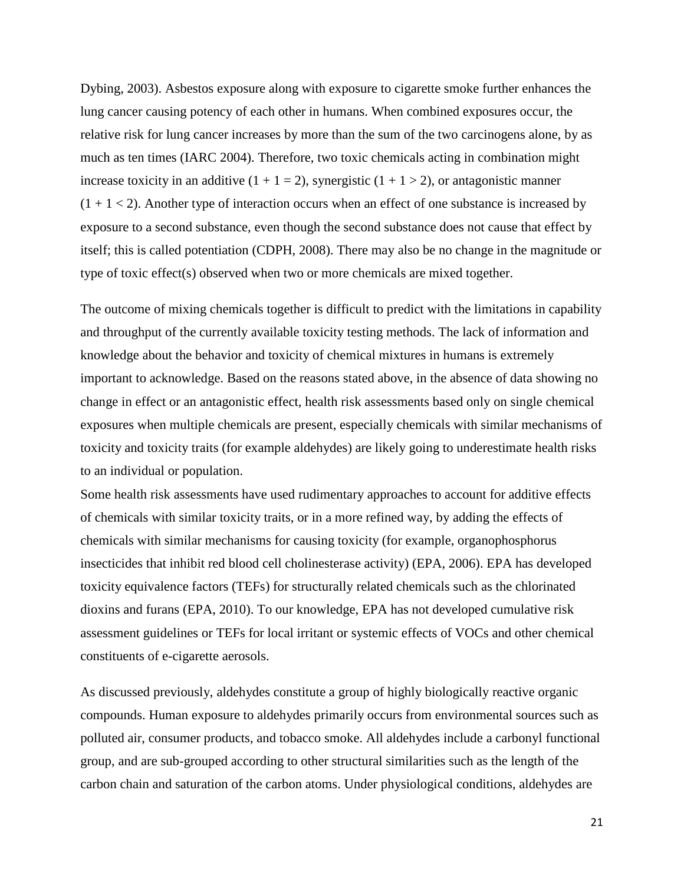Dybing, 2003). Asbestos exposure along with exposure to cigarette smoke further enhances the lung cancer causing potency of each other in humans. When combined exposures occur, the relative risk for lung cancer increases by more than the sum of the two carcinogens alone, by as much as ten times (IARC 2004). Therefore, two toxic chemicals acting in combination might increase toxicity in an additive  $(1 + 1 = 2)$ , synergistic  $(1 + 1 > 2)$ , or antagonistic manner  $(1 + 1 < 2)$ . Another type of interaction occurs when an effect of one substance is increased by exposure to a second substance, even though the second substance does not cause that effect by itself; this is called potentiation (CDPH, 2008). There may also be no change in the magnitude or type of toxic effect(s) observed when two or more chemicals are mixed together.

The outcome of mixing chemicals together is difficult to predict with the limitations in capability and throughput of the currently available toxicity testing methods. The lack of information and knowledge about the behavior and toxicity of chemical mixtures in humans is extremely important to acknowledge. Based on the reasons stated above, in the absence of data showing no change in effect or an antagonistic effect, health risk assessments based only on single chemical exposures when multiple chemicals are present, especially chemicals with similar mechanisms of toxicity and toxicity traits (for example aldehydes) are likely going to underestimate health risks to an individual or population.

Some health risk assessments have used rudimentary approaches to account for additive effects of chemicals with similar toxicity traits, or in a more refined way, by adding the effects of chemicals with similar mechanisms for causing toxicity (for example, organophosphorus insecticides that inhibit red blood cell cholinesterase activity) (EPA, 2006). EPA has developed toxicity equivalence factors (TEFs) for structurally related chemicals such as the chlorinated dioxins and furans (EPA, 2010). To our knowledge, EPA has not developed cumulative risk assessment guidelines or TEFs for local irritant or systemic effects of VOCs and other chemical constituents of e-cigarette aerosols.

As discussed previously, aldehydes constitute a group of highly biologically reactive organic compounds. Human exposure to aldehydes primarily occurs from environmental sources such as polluted air, consumer products, and tobacco smoke. All aldehydes include a carbonyl functional group, and are sub-grouped according to other structural similarities such as the length of the carbon chain and saturation of the carbon atoms. Under physiological conditions, aldehydes are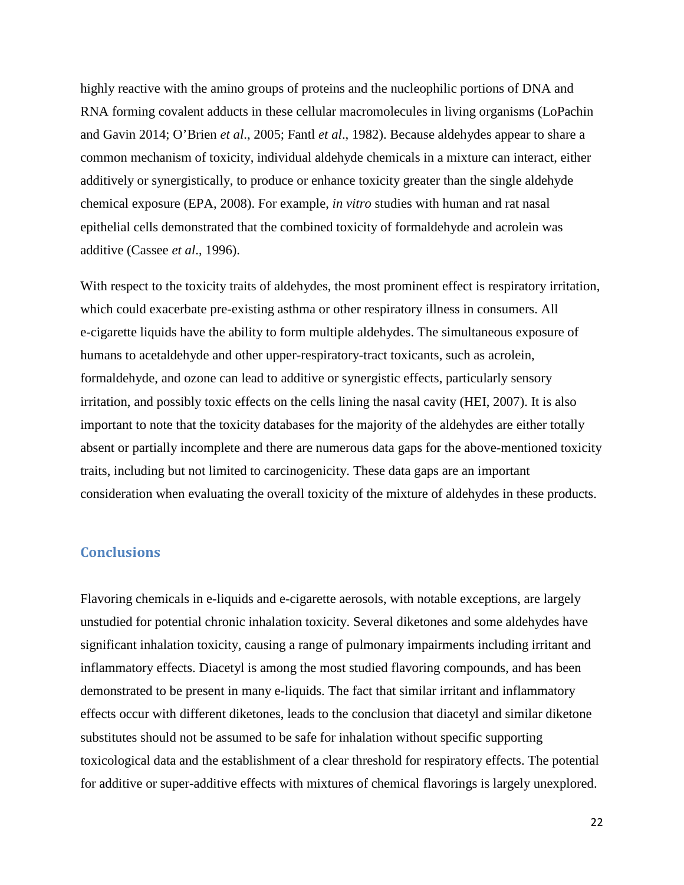highly reactive with the amino groups of proteins and the nucleophilic portions of DNA and RNA forming covalent adducts in these cellular macromolecules in living organisms (LoPachin and Gavin 2014; O'Brien *et al*., 2005; Fantl *et al*., 1982). Because aldehydes appear to share a common mechanism of toxicity, individual aldehyde chemicals in a mixture can interact, either additively or synergistically, to produce or enhance toxicity greater than the single aldehyde chemical exposure (EPA, 2008). For example, *in vitro* studies with human and rat nasal epithelial cells demonstrated that the combined toxicity of formaldehyde and acrolein was additive (Cassee *et al*., 1996).

With respect to the toxicity traits of aldehydes, the most prominent effect is respiratory irritation, which could exacerbate pre-existing asthma or other respiratory illness in consumers. All e-cigarette liquids have the ability to form multiple aldehydes. The simultaneous exposure of humans to acetaldehyde and other upper-respiratory-tract toxicants, such as acrolein, formaldehyde, and ozone can lead to additive or synergistic effects, particularly sensory irritation, and possibly toxic effects on the cells lining the nasal cavity (HEI, 2007). It is also important to note that the toxicity databases for the majority of the aldehydes are either totally absent or partially incomplete and there are numerous data gaps for the above-mentioned toxicity traits, including but not limited to carcinogenicity. These data gaps are an important consideration when evaluating the overall toxicity of the mixture of aldehydes in these products.

## <span id="page-21-0"></span>**Conclusions**

Flavoring chemicals in e-liquids and e-cigarette aerosols, with notable exceptions, are largely unstudied for potential chronic inhalation toxicity. Several diketones and some aldehydes have significant inhalation toxicity, causing a range of pulmonary impairments including irritant and inflammatory effects. Diacetyl is among the most studied flavoring compounds, and has been demonstrated to be present in many e-liquids. The fact that similar irritant and inflammatory effects occur with different diketones, leads to the conclusion that diacetyl and similar diketone substitutes should not be assumed to be safe for inhalation without specific supporting toxicological data and the establishment of a clear threshold for respiratory effects. The potential for additive or super-additive effects with mixtures of chemical flavorings is largely unexplored.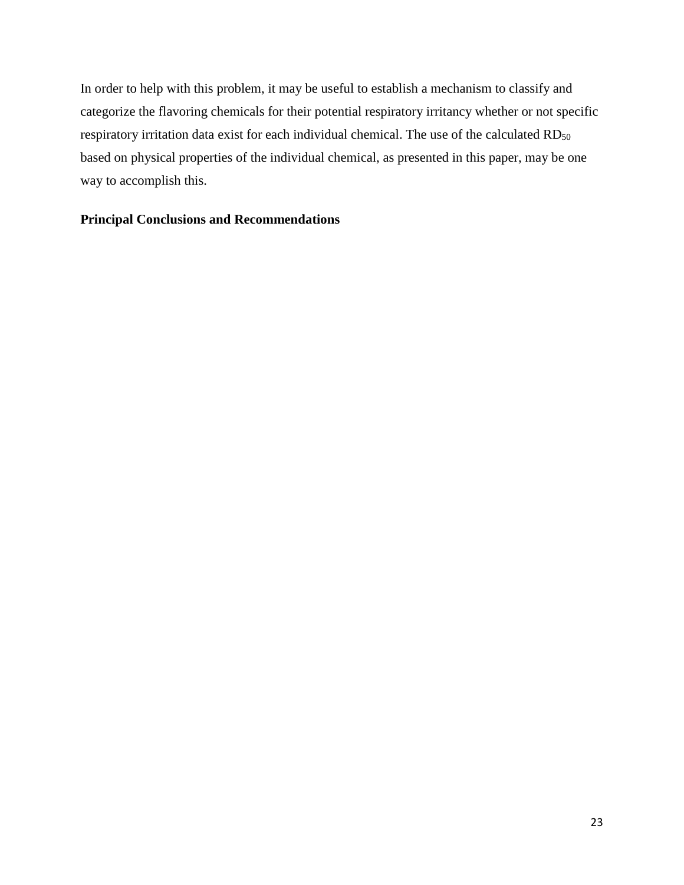In order to help with this problem, it may be useful to establish a mechanism to classify and categorize the flavoring chemicals for their potential respiratory irritancy whether or not specific respiratory irritation data exist for each individual chemical. The use of the calculated RD<sub>50</sub> based on physical properties of the individual chemical, as presented in this paper, may be one way to accomplish this.

## **Principal Conclusions and Recommendations**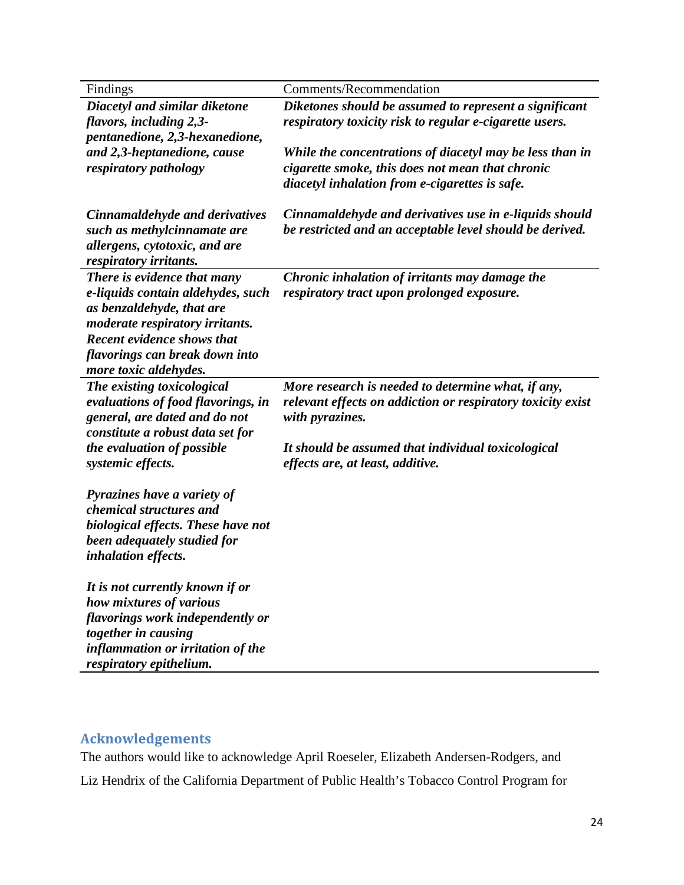| Findings                                        | Comments/Recommendation                                                                |
|-------------------------------------------------|----------------------------------------------------------------------------------------|
| Diacetyl and similar diketone                   | Diketones should be assumed to represent a significant                                 |
| flavors, including 2,3-                         | respiratory toxicity risk to regular e-cigarette users.                                |
| pentanedione, 2,3-hexanedione,                  |                                                                                        |
| and 2,3-heptanedione, cause                     | While the concentrations of diacetyl may be less than in                               |
| respiratory pathology                           | cigarette smoke, this does not mean that chronic                                       |
|                                                 | diacetyl inhalation from e-cigarettes is safe.                                         |
|                                                 |                                                                                        |
| Cinnamaldehyde and derivatives                  | Cinnamaldehyde and derivatives use in e-liquids should                                 |
| such as methylcinnamate are                     | be restricted and an acceptable level should be derived.                               |
| allergens, cytotoxic, and are                   |                                                                                        |
| respiratory irritants.                          |                                                                                        |
| There is evidence that many                     | Chronic inhalation of irritants may damage the                                         |
| e-liquids contain aldehydes, such               | respiratory tract upon prolonged exposure.                                             |
| as benzaldehyde, that are                       |                                                                                        |
| <i>moderate respiratory irritants.</i>          |                                                                                        |
| <b>Recent evidence shows that</b>               |                                                                                        |
| flavorings can break down into                  |                                                                                        |
| more toxic aldehydes.                           |                                                                                        |
| The existing toxicological                      | More research is needed to determine what, if any,                                     |
| evaluations of food flavorings, in              | relevant effects on addiction or respiratory toxicity exist                            |
| general, are dated and do not                   | with pyrazines.                                                                        |
| constitute a robust data set for                |                                                                                        |
| the evaluation of possible<br>systemic effects. | It should be assumed that individual toxicological<br>effects are, at least, additive. |
|                                                 |                                                                                        |
| Pyrazines have a variety of                     |                                                                                        |
| chemical structures and                         |                                                                                        |
| biological effects. These have not              |                                                                                        |
| been adequately studied for                     |                                                                                        |
| inhalation effects.                             |                                                                                        |
|                                                 |                                                                                        |
| It is not currently known if or                 |                                                                                        |
| how mixtures of various                         |                                                                                        |
| flavorings work independently or                |                                                                                        |
| together in causing                             |                                                                                        |
| inflammation or irritation of the               |                                                                                        |
| respiratory epithelium.                         |                                                                                        |

# <span id="page-23-0"></span>**Acknowledgements**

The authors would like to acknowledge April Roeseler, Elizabeth Andersen-Rodgers, and Liz Hendrix of the California Department of Public Health's Tobacco Control Program for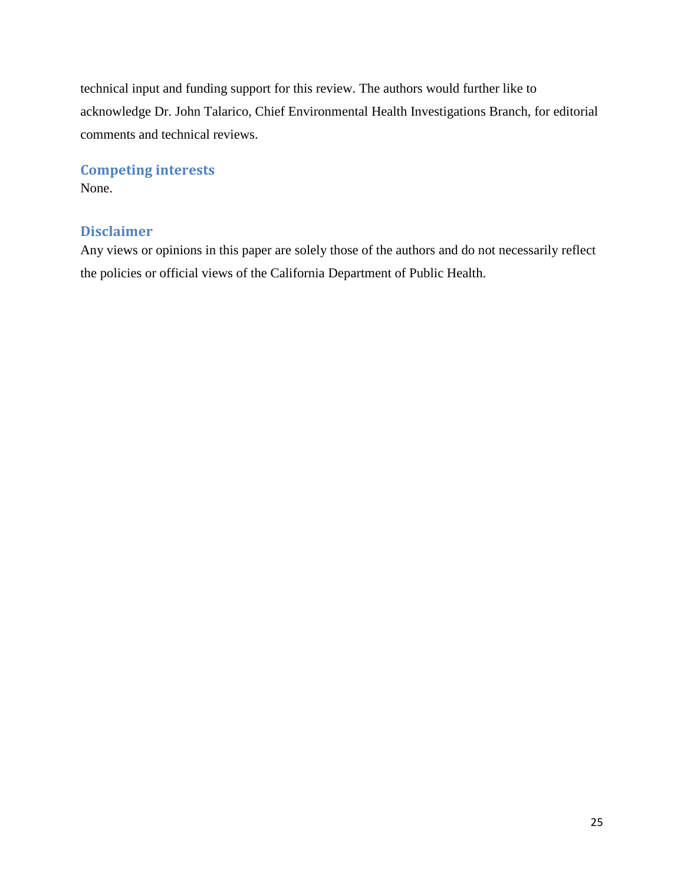technical input and funding support for this review. The authors would further like to acknowledge Dr. John Talarico, Chief Environmental Health Investigations Branch, for editorial comments and technical reviews.

# <span id="page-24-0"></span>**Competing interests**

None.

# <span id="page-24-1"></span>**Disclaimer**

Any views or opinions in this paper are solely those of the authors and do not necessarily reflect the policies or official views of the California Department of Public Health.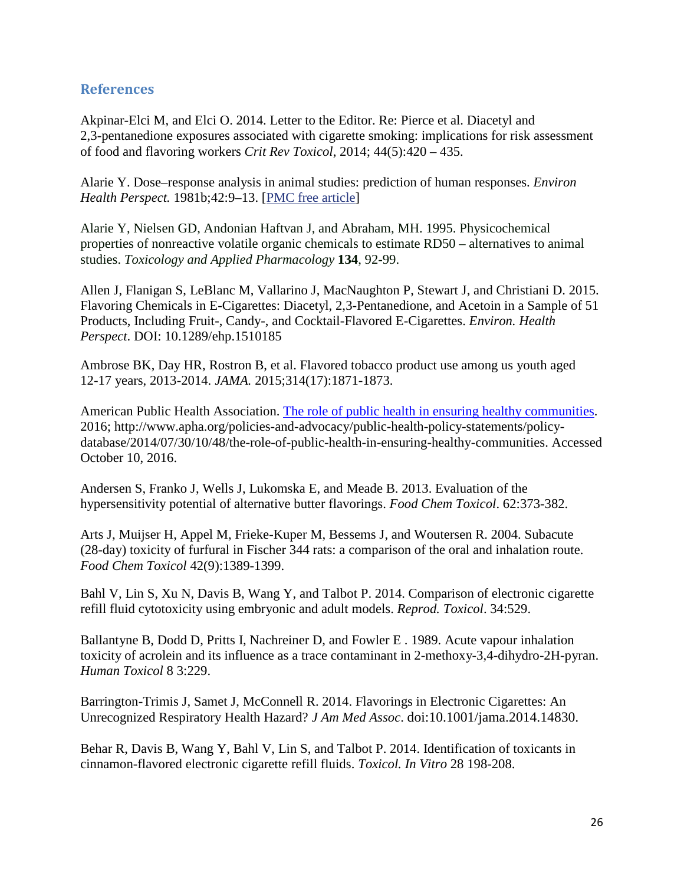# <span id="page-25-0"></span>**References**

Akpinar-Elci M, and Elci O. 2014. Letter to the Editor. Re: Pierce et al. Diacetyl and 2,3-pentanedione exposures associated with cigarette smoking: implications for risk assessment of food and flavoring workers *Crit Rev Toxicol*, 2014; 44(5):420 – 435.

Alarie Y. Dose–response analysis in animal studies: prediction of human responses. *Environ Health Perspect.* 1981b;42:9–13. [\[PMC free article\]](http://www.ncbi.nlm.nih.gov/pmc/articles/PMC1568799/)

Alarie Y, Nielsen GD, Andonian Haftvan J, and Abraham, MH. 1995. Physicochemical properties of nonreactive volatile organic chemicals to estimate RD50 – alternatives to animal studies. *Toxicology and Applied Pharmacology* **134**, 92-99.

Allen J, Flanigan S, LeBlanc M, Vallarino J, MacNaughton P, Stewart J, and Christiani D. 2015. Flavoring Chemicals in E-Cigarettes: Diacetyl, 2,3-Pentanedione, and Acetoin in a Sample of 51 Products, Including Fruit-, Candy-, and Cocktail-Flavored E-Cigarettes. *Environ. Health Perspect*. DOI: 10.1289/ehp.1510185

Ambrose BK, Day HR, Rostron B, et al. Flavored tobacco product use among us youth aged 12-17 years, 2013-2014. *JAMA.* 2015;314(17):1871-1873.

American Public Health Association. [The role of public health in ensuring healthy communities.](http://www.apha.org/policies-and-advocacy/public-health-policy-statements/policy-database/2014/07/30/10/48/the-role-of-public-health-in-ensuring-healthy-communities) 2016; http://www.apha.org/policies-and-advocacy/public-health-policy-statements/policydatabase/2014/07/30/10/48/the-role-of-public-health-in-ensuring-healthy-communities. Accessed October 10, 2016.

Andersen S, Franko J, Wells J, Lukomska E, and Meade B. 2013. Evaluation of the hypersensitivity potential of alternative butter flavorings. *Food Chem Toxicol*. 62:373-382.

Arts J, Muijser H, Appel M, Frieke-Kuper M, Bessems J, and Woutersen R. 2004. Subacute (28-day) toxicity of furfural in Fischer 344 rats: a comparison of the oral and inhalation route. *Food Chem Toxicol* 42(9):1389-1399.

Bahl V, Lin S, Xu N, Davis B, Wang Y, and Talbot P. 2014. Comparison of electronic cigarette refill fluid cytotoxicity using embryonic and adult models. *Reprod. Toxicol*. 34:529.

Ballantyne B, Dodd D, Pritts I, Nachreiner D, and Fowler E . 1989. Acute vapour inhalation toxicity of acrolein and its influence as a trace contaminant in 2-methoxy-3,4-dihydro-2H-pyran. *Human Toxicol* 8 3:229.

Barrington-Trimis J, Samet J, McConnell R. 2014. Flavorings in Electronic Cigarettes: An Unrecognized Respiratory Health Hazard? *J Am Med Assoc*. doi:10.1001/jama.2014.14830.

Behar R, Davis B, Wang Y, Bahl V, Lin S, and Talbot P. 2014. Identification of toxicants in cinnamon-flavored electronic cigarette refill fluids. *Toxicol. In Vitro* 28 198-208.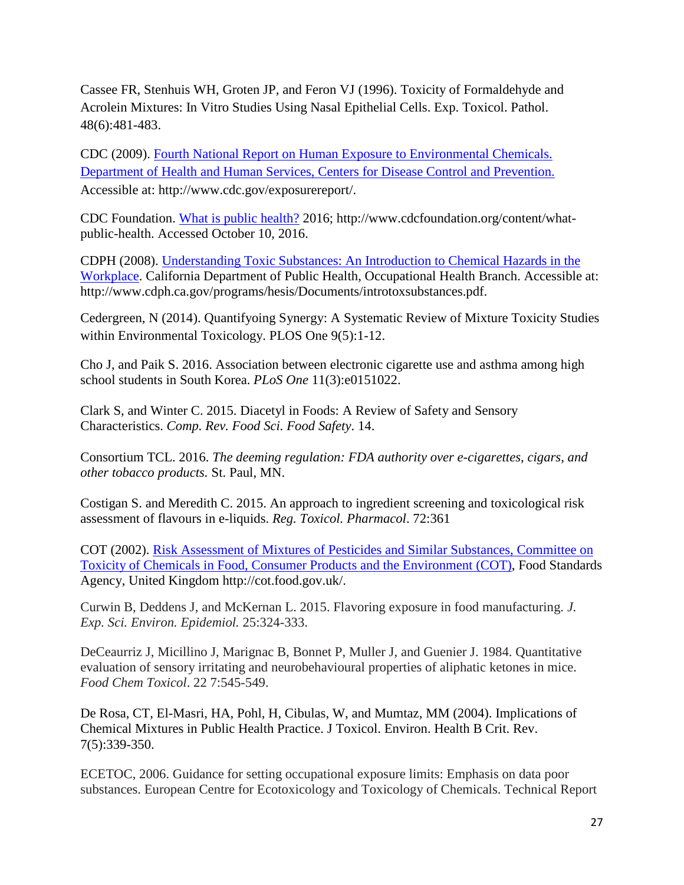Cassee FR, Stenhuis WH, Groten JP, and Feron VJ (1996). Toxicity of Formaldehyde and Acrolein Mixtures: In Vitro Studies Using Nasal Epithelial Cells. Exp. Toxicol. Pathol. 48(6):481-483.

CDC (2009). [Fourth National Report on Human Exposure to Environmental Chemicals.](http://www.cdc.gov/exposurereport/)  [Department of Health and Human Services, Centers for Disease Control and Prevention.](http://www.cdc.gov/exposurereport/) Accessible at: http://www.cdc.gov/exposurereport/.

CDC Foundation. [What is public health?](http://www.cdcfoundation.org/content/what-public-health) 2016; http://www.cdcfoundation.org/content/whatpublic-health. Accessed October 10, 2016.

CDPH (2008). [Understanding Toxic Substances: An Introduction to Chemical Hazards in the](http://www.cdph.ca.gov/programs/hesis/Documents/introtoxsubstances.pdf)  [Workplace.](http://www.cdph.ca.gov/programs/hesis/Documents/introtoxsubstances.pdf) California Department of Public Health, Occupational Health Branch. Accessible at: http://www.cdph.ca.gov/programs/hesis/Documents/introtoxsubstances.pdf.

Cedergreen, N (2014). Quantifyoing Synergy: A Systematic Review of Mixture Toxicity Studies within Environmental Toxicology. PLOS One 9(5):1-12.

Cho J, and Paik S. 2016. Association between electronic cigarette use and asthma among high school students in South Korea. *PLoS One* 11(3):e0151022.

Clark S, and Winter C. 2015. Diacetyl in Foods: A Review of Safety and Sensory Characteristics. *Comp. Rev. Food Sci. Food Safety*. 14.

Consortium TCL. 2016. *The deeming regulation: FDA authority over e-cigarettes, cigars, and other tobacco products.* St. Paul, MN.

Costigan S. and Meredith C. 2015. An approach to ingredient screening and toxicological risk assessment of flavours in e-liquids. *Reg. Toxicol. Pharmacol*. 72:361

COT (2002). [Risk Assessment of Mixtures of Pesticides](http://cot.food.gov.uk/) and Similar Substances, Committee on [Toxicity of Chemicals in Food, Consumer Products and the Environment \(COT\),](http://cot.food.gov.uk/) Food Standards Agency, United Kingdom http://cot.food.gov.uk/.

Curwin B, Deddens J, and McKernan L. 2015. Flavoring exposure in food manufacturing. *J. Exp. Sci. Environ. Epidemiol.* 25:324-333.

DeCeaurriz J, Micillino J, Marignac B, Bonnet P, Muller J, and Guenier J. 1984. Quantitative evaluation of sensory irritating and neurobehavioural properties of aliphatic ketones in mice. *Food Chem Toxicol*. 22 7:545-549.

De Rosa, CT, El-Masri, HA, Pohl, H, Cibulas, W, and Mumtaz, MM (2004). Implications of Chemical Mixtures in Public Health Practice. J Toxicol. Environ. Health B Crit. Rev. 7(5):339-350.

ECETOC, 2006. Guidance for setting occupational exposure limits: Emphasis on data poor substances. European Centre for Ecotoxicology and Toxicology of Chemicals. Technical Report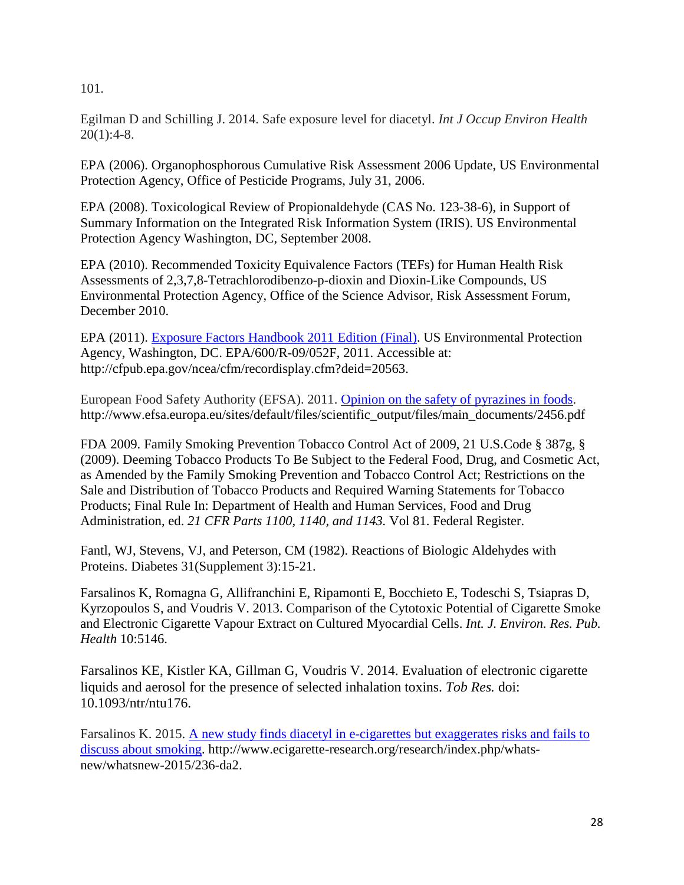101.

Egilman D and Schilling J. 2014. Safe exposure level for diacetyl. *Int J Occup Environ Health*  $20(1):4-8.$ 

EPA (2006). Organophosphorous Cumulative Risk Assessment 2006 Update, US Environmental Protection Agency, Office of Pesticide Programs, July 31, 2006.

EPA (2008). Toxicological Review of Propionaldehyde (CAS No. 123-38-6), in Support of Summary Information on the Integrated Risk Information System (IRIS). US Environmental Protection Agency Washington, DC, September 2008.

EPA (2010). Recommended Toxicity Equivalence Factors (TEFs) for Human Health Risk Assessments of 2,3,7,8-Tetrachlorodibenzo-p-dioxin and Dioxin-Like Compounds, US Environmental Protection Agency, Office of the Science Advisor, Risk Assessment Forum, December 2010.

EPA (2011). [Exposure Factors Handbook 2011 Edition \(Final\).](http://cfpub.epa.gov/ncea/cfm/recordisplay.cfm?deid=20563) US Environmental Protection Agency, Washington, DC. EPA/600/R-09/052F, 2011. Accessible at: http://cfpub.epa.gov/ncea/cfm/recordisplay.cfm?deid=20563.

European Food Safety Authority (EFSA). 2011. [Opinion on the safety of pyrazines in foods.](http://www.efsa.europa.eu/sites/default/files/scientific_output/files/main_documents/2456.pdf) http://www.efsa.europa.eu/sites/default/files/scientific\_output/files/main\_documents/2456.pdf

FDA 2009. Family Smoking Prevention Tobacco Control Act of 2009, 21 U.S.Code § 387g, § (2009). Deeming Tobacco Products To Be Subject to the Federal Food, Drug, and Cosmetic Act, as Amended by the Family Smoking Prevention and Tobacco Control Act; Restrictions on the Sale and Distribution of Tobacco Products and Required Warning Statements for Tobacco Products; Final Rule In: Department of Health and Human Services, Food and Drug Administration, ed. *21 CFR Parts 1100, 1140, and 1143.* Vol 81. Federal Register.

Fantl, WJ, Stevens, VJ, and Peterson, CM (1982). Reactions of Biologic Aldehydes with Proteins. Diabetes 31(Supplement 3):15-21.

Farsalinos K, Romagna G, Allifranchini E, Ripamonti E, Bocchieto E, Todeschi S, Tsiapras D, Kyrzopoulos S, and Voudris V. 2013. Comparison of the Cytotoxic Potential of Cigarette Smoke and Electronic Cigarette Vapour Extract on Cultured Myocardial Cells. *Int. J. Environ. Res. Pub. Health* 10:5146.

Farsalinos KE, Kistler KA, Gillman G, Voudris V. 2014. Evaluation of electronic cigarette liquids and aerosol for the presence of selected inhalation toxins. *Tob Res.* doi: 10.1093/ntr/ntu176.

Farsalinos K. 2015. [A new study finds diacetyl in e-cigarettes but exaggerates risks and fails to](http://www.ecigarette-research.org/research/index.php/whats-new/whatsnew-2015/236-da2)  [discuss about smoking.](http://www.ecigarette-research.org/research/index.php/whats-new/whatsnew-2015/236-da2) http://www.ecigarette-research.org/research/index.php/whatsnew/whatsnew-2015/236-da2.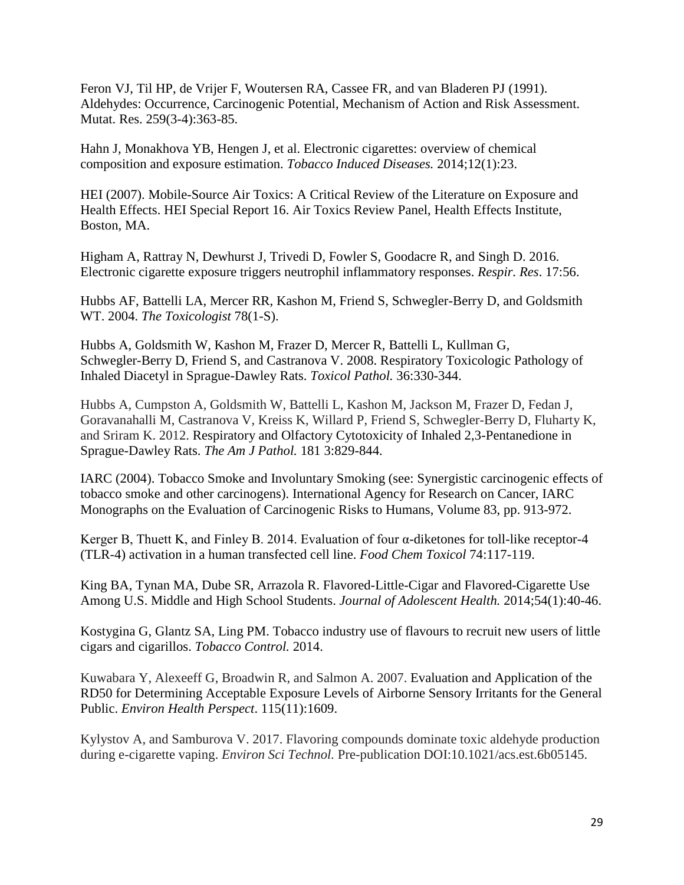Feron VJ, Til HP, de Vrijer F, Woutersen RA, Cassee FR, and van Bladeren PJ (1991). Aldehydes: Occurrence, Carcinogenic Potential, Mechanism of Action and Risk Assessment. Mutat. Res. 259(3-4):363-85.

Hahn J, Monakhova YB, Hengen J, et al. Electronic cigarettes: overview of chemical composition and exposure estimation. *Tobacco Induced Diseases.* 2014;12(1):23.

HEI (2007). Mobile-Source Air Toxics: A Critical Review of the Literature on Exposure and Health Effects. HEI Special Report 16. Air Toxics Review Panel, Health Effects Institute, Boston, MA.

Higham A, Rattray N, Dewhurst J, Trivedi D, Fowler S, Goodacre R, and Singh D. 2016. Electronic cigarette exposure triggers neutrophil inflammatory responses. *Respir. Res*. 17:56.

Hubbs AF, Battelli LA, Mercer RR, Kashon M, Friend S, Schwegler-Berry D, and Goldsmith WT. 2004. *The Toxicologist* 78(1-S).

Hubbs A, Goldsmith W, Kashon M, Frazer D, Mercer R, Battelli L, Kullman G, Schwegler-Berry D, Friend S, and Castranova V. 2008. Respiratory Toxicologic Pathology of Inhaled Diacetyl in Sprague-Dawley Rats. *Toxicol Pathol.* 36:330-344.

Hubbs A, Cumpston A, Goldsmith W, Battelli L, Kashon M, Jackson M, Frazer D, Fedan J, Goravanahalli M, Castranova V, Kreiss K, Willard P, Friend S, Schwegler-Berry D, Fluharty K, and Sriram K. 2012. Respiratory and Olfactory Cytotoxicity of Inhaled 2,3-Pentanedione in Sprague-Dawley Rats. *The Am J Pathol.* 181 3:829-844.

IARC (2004). Tobacco Smoke and Involuntary Smoking (see: Synergistic carcinogenic effects of tobacco smoke and other carcinogens). International Agency for Research on Cancer, IARC Monographs on the Evaluation of Carcinogenic Risks to Humans, Volume 83, pp. 913-972.

Kerger B, Thuett K, and Finley B. 2014. Evaluation of four  $\alpha$ -diketones for toll-like receptor-4 (TLR-4) activation in a human transfected cell line. *Food Chem Toxicol* 74:117-119.

King BA, Tynan MA, Dube SR, Arrazola R. Flavored-Little-Cigar and Flavored-Cigarette Use Among U.S. Middle and High School Students. *Journal of Adolescent Health.* 2014;54(1):40-46.

Kostygina G, Glantz SA, Ling PM. Tobacco industry use of flavours to recruit new users of little cigars and cigarillos. *Tobacco Control.* 2014.

Kuwabara Y, Alexeeff G, Broadwin R, and Salmon A. 2007. Evaluation and Application of the RD50 for Determining Acceptable Exposure Levels of Airborne Sensory Irritants for the General Public. *Environ Health Perspect*. 115(11):1609.

Kylystov A, and Samburova V. 2017. Flavoring compounds dominate toxic aldehyde production during e-cigarette vaping. *Environ Sci Technol.* Pre-publication DOI:10.1021/acs.est.6b05145.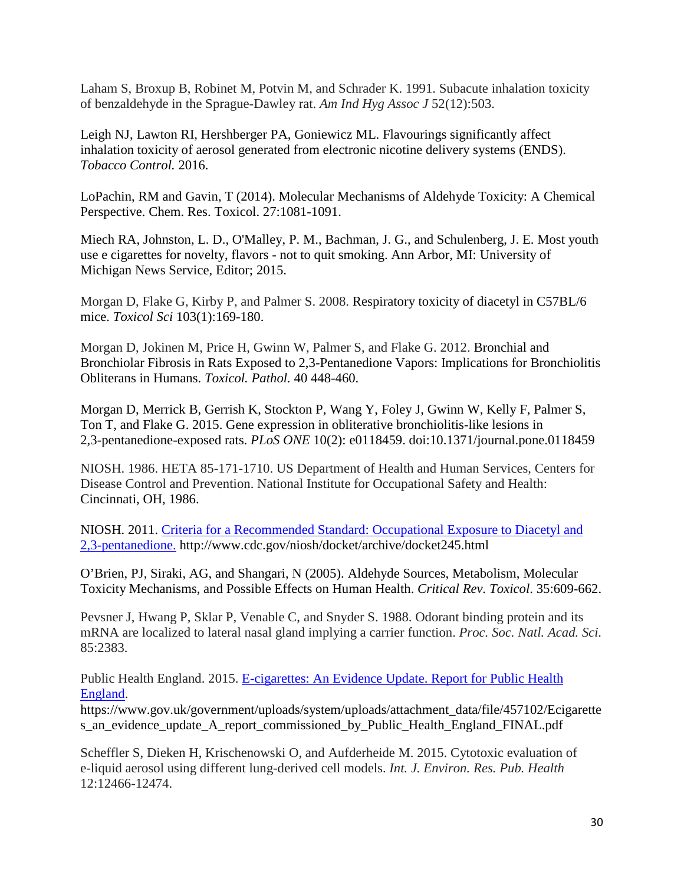Laham S, Broxup B, Robinet M, Potvin M, and Schrader K. 1991. Subacute inhalation toxicity of benzaldehyde in the Sprague-Dawley rat. *Am Ind Hyg Assoc J* 52(12):503.

Leigh NJ, Lawton RI, Hershberger PA, Goniewicz ML. Flavourings significantly affect inhalation toxicity of aerosol generated from electronic nicotine delivery systems (ENDS). *Tobacco Control.* 2016.

LoPachin, RM and Gavin, T (2014). Molecular Mechanisms of Aldehyde Toxicity: A Chemical Perspective. Chem. Res. Toxicol. 27:1081-1091.

Miech RA, Johnston, L. D., O'Malley, P. M., Bachman, J. G., and Schulenberg, J. E. Most youth use e cigarettes for novelty, flavors - not to quit smoking. Ann Arbor, MI: University of Michigan News Service, Editor; 2015.

Morgan D, Flake G, Kirby P, and Palmer S. 2008. Respiratory toxicity of diacetyl in C57BL/6 mice. *Toxicol Sci* 103(1):169-180.

Morgan D, Jokinen M, Price H, Gwinn W, Palmer S, and Flake G. 2012. Bronchial and Bronchiolar Fibrosis in Rats Exposed to 2,3-Pentanedione Vapors: Implications for Bronchiolitis Obliterans in Humans. *Toxicol. Pathol.* 40 448-460.

Morgan D, Merrick B, Gerrish K, Stockton P, Wang Y, Foley J, Gwinn W, Kelly F, Palmer S, Ton T, and Flake G. 2015. Gene expression in obliterative bronchiolitis-like lesions in 2,3-pentanedione-exposed rats. *PLoS ONE* 10(2): e0118459. doi:10.1371/journal.pone.0118459

NIOSH. 1986. HETA 85-171-1710. US Department of Health and Human Services, Centers for Disease Control and Prevention. National Institute for Occupational Safety and Health: Cincinnati, OH, 1986.

NIOSH. 2011. [Criteria for a Recommended Standard: Occupational Exposure to Diacetyl and](http://www.cdc.gov/niosh/docket/archive/docket245.html)  [2,3-pentanedione.](http://www.cdc.gov/niosh/docket/archive/docket245.html) http://www.cdc.gov/niosh/docket/archive/docket245.html

O'Brien, PJ, Siraki, AG, and Shangari, N (2005). Aldehyde Sources, Metabolism, Molecular Toxicity Mechanisms, and Possible Effects on Human Health. *Critical Rev. Toxicol*. 35:609-662.

Pevsner J, Hwang P, Sklar P, Venable C, and Snyder S. 1988. Odorant binding protein and its mRNA are localized to lateral nasal gland implying a carrier function. *Proc. Soc. Natl. Acad. Sci.* 85:2383.

Public Health England. 2015. E-cigarettes: An Evidence Update. Report for Public Health [England.](https://www.gov.uk/government/uploads/system/uploads/attachment_data/file/457102/Ecigarettes_an_evidence_update_A_report_commissioned_by_Public_Health_England_FINAL.pdf)

https://www.gov.uk/government/uploads/system/uploads/attachment\_data/file/457102/Ecigarette s\_an\_evidence\_update\_A\_report\_commissioned\_by\_Public\_Health\_England\_FINAL.pdf

Scheffler S, Dieken H, Krischenowski O, and Aufderheide M. 2015. Cytotoxic evaluation of e-liquid aerosol using different lung-derived cell models. *Int. J. Environ. Res. Pub. Health* 12:12466-12474.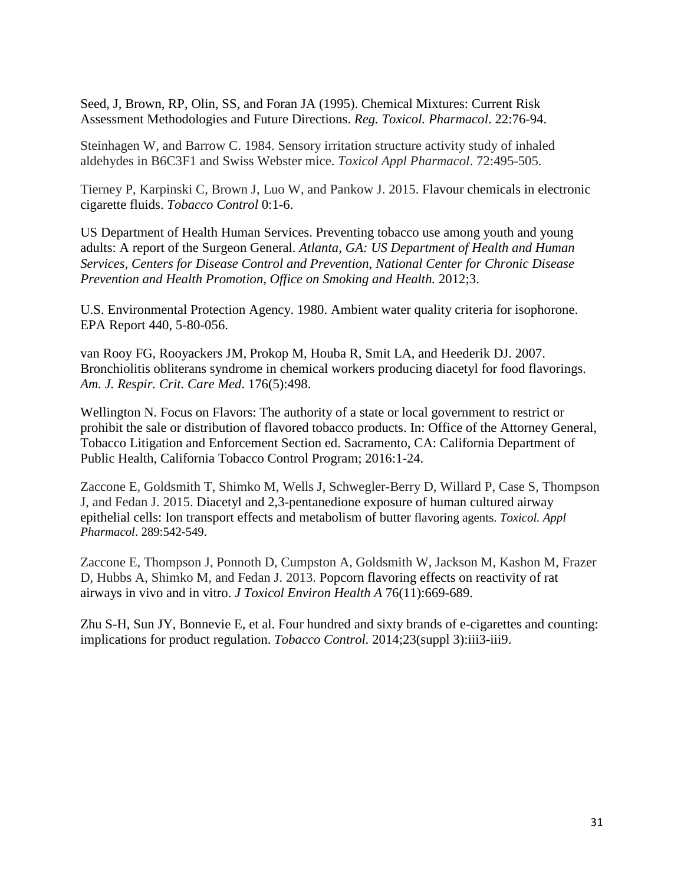Seed, J, Brown, RP, Olin, SS, and Foran JA (1995). Chemical Mixtures: Current Risk Assessment Methodologies and Future Directions. *Reg. Toxicol. Pharmacol*. 22:76-94.

Steinhagen W, and Barrow C. 1984. Sensory irritation structure activity study of inhaled aldehydes in B6C3F1 and Swiss Webster mice. *Toxicol Appl Pharmacol*. 72:495-505.

Tierney P, Karpinski C, Brown J, Luo W, and Pankow J. 2015. Flavour chemicals in electronic cigarette fluids. *Tobacco Control* 0:1-6.

US Department of Health Human Services. Preventing tobacco use among youth and young adults: A report of the Surgeon General. *Atlanta, GA: US Department of Health and Human Services, Centers for Disease Control and Prevention, National Center for Chronic Disease Prevention and Health Promotion, Office on Smoking and Health.* 2012;3.

U.S. Environmental Protection Agency. 1980. Ambient water quality criteria for isophorone. EPA Report 440, 5-80-056.

van Rooy FG, Rooyackers JM, Prokop M, Houba R, Smit LA, and Heederik DJ. 2007. [Bronchiolitis obliterans syndrome in chemical workers producing diacetyl](https://toxnet.nlm.nih.gov/cgi-bin/sis/search2/f?./temp/%7EVUhNwj:1) for food flavorings. *Am. J. Respir. Crit. Care Med*. 176(5):498.

Wellington N. Focus on Flavors: The authority of a state or local government to restrict or prohibit the sale or distribution of flavored tobacco products. In: Office of the Attorney General, Tobacco Litigation and Enforcement Section ed. Sacramento, CA: California Department of Public Health, California Tobacco Control Program; 2016:1-24.

Zaccone E, Goldsmith T, Shimko M, Wells J, Schwegler-Berry D, Willard P, Case S, Thompson J, and Fedan J. 2015. Diacetyl and 2,3-pentanedione exposure of human cultured airway epithelial cells: Ion transport effects and metabolism of butter flavoring agents. *Toxicol. Appl Pharmacol*. 289:542-549.

Zaccone E, Thompson J, Ponnoth D, Cumpston A, Goldsmith W, Jackson M, Kashon M, Frazer D, Hubbs A, Shimko M, and Fedan J. 2013. Popcorn flavoring effects on reactivity of rat airways in vivo and in vitro. *J Toxicol Environ Health A* 76(11):669-689.

Zhu S-H, Sun JY, Bonnevie E, et al. Four hundred and sixty brands of e-cigarettes and counting: implications for product regulation. *Tobacco Control.* 2014;23(suppl 3):iii3-iii9.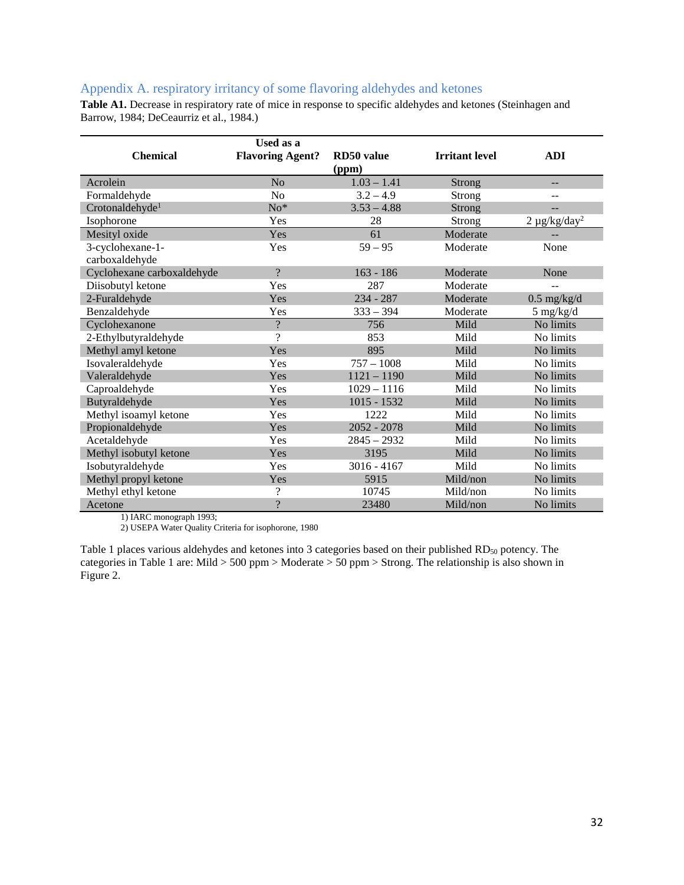## <span id="page-31-0"></span>Appendix A. respiratory irritancy of some flavoring aldehydes and ketones

**Table A1.** Decrease in respiratory rate of mice in response to specific aldehydes and ketones (Steinhagen and Barrow, 1984; DeCeaurriz et al., 1984.)

|                             | <b>Used as a</b>         |                     |                       |                    |
|-----------------------------|--------------------------|---------------------|-----------------------|--------------------|
| <b>Chemical</b>             | <b>Flavoring Agent?</b>  | RD50 value<br>(ppm) | <b>Irritant</b> level | <b>ADI</b>         |
| Acrolein                    | N <sub>o</sub>           | $1.03 - 1.41$       | Strong                | $\qquad \qquad -$  |
| Formaldehyde                | N <sub>o</sub>           | $3.2 - 4.9$         | Strong                | $-1$               |
| Crotonaldehyde <sup>1</sup> | $No*$                    | $3.53 - 4.88$       | <b>Strong</b>         |                    |
| Isophorone                  | Yes                      | 28                  | Strong                | $2 \mu g/kg/day^2$ |
| Mesityl oxide               | Yes                      | 61                  | Moderate              |                    |
| 3-cyclohexane-1-            | Yes                      | $59 - 95$           | Moderate              | None               |
| carboxaldehyde              |                          |                     |                       |                    |
| Cyclohexane carboxaldehyde  | $\gamma$                 | $163 - 186$         | Moderate              | None               |
| Diisobutyl ketone           | Yes                      | 287                 | Moderate              |                    |
| 2-Furaldehyde               | Yes                      | $234 - 287$         | Moderate              | $0.5$ mg/kg/d      |
| Benzaldehyde                | Yes                      | $333 - 394$         | Moderate              | $5$ mg/kg/d        |
| Cyclohexanone               | $\gamma$                 | 756                 | Mild                  | No limits          |
| 2-Ethylbutyraldehyde        | $\overline{\mathcal{C}}$ | 853                 | Mild                  | No limits          |
| Methyl amyl ketone          | Yes                      | 895                 | Mild                  | No limits          |
| Isovaleraldehyde            | Yes                      | $757 - 1008$        | Mild                  | No limits          |
| Valeraldehyde               | Yes                      | $1121 - 1190$       | Mild                  | No limits          |
| Caproaldehyde               | Yes                      | $1029 - 1116$       | Mild                  | No limits          |
| Butyraldehyde               | Yes                      | $1015 - 1532$       | Mild                  | No limits          |
| Methyl isoamyl ketone       | Yes                      | 1222                | Mild                  | No limits          |
| Propionaldehyde             | Yes                      | $2052 - 2078$       | Mild                  | No limits          |
| Acetaldehyde                | Yes                      | $2845 - 2932$       | Mild                  | No limits          |
| Methyl isobutyl ketone      | Yes                      | 3195                | Mild                  | No limits          |
| Isobutyraldehyde            | Yes                      | $3016 - 4167$       | Mild                  | No limits          |
| Methyl propyl ketone        | Yes                      | 5915                | Mild/non              | No limits          |
| Methyl ethyl ketone         | ?                        | 10745               | Mild/non              | No limits          |
| Acetone                     | $\overline{\cdot}$       | 23480               | Mild/non              | No limits          |

1) IARC monograph 1993;

2) USEPA Water Quality Criteria for isophorone, 1980

Table 1 places various aldehydes and ketones into 3 categories based on their published RD<sub>50</sub> potency. The categories in Table 1 are: Mild > 500 ppm > Moderate > 50 ppm > Strong. The relationship is also shown in Figure 2.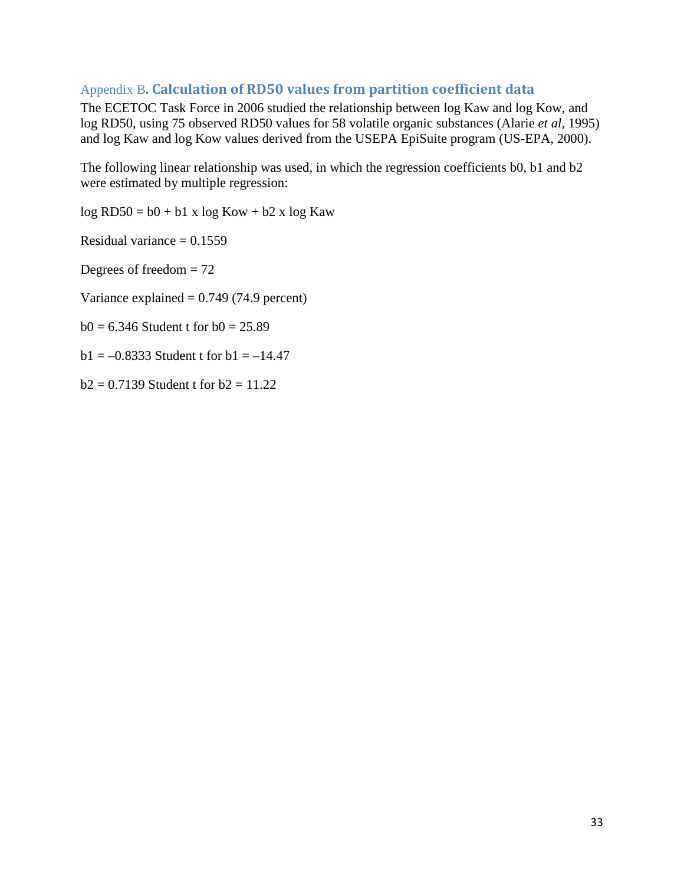# <span id="page-32-0"></span>Appendix B**. Calculation of RD50 values from partition coefficient data**

The ECETOC Task Force in 2006 studied the relationship between log Kaw and log Kow, and log RD50, using 75 observed RD50 values for 58 volatile organic substances (Alarie *et al,* 1995) and log Kaw and log Kow values derived from the USEPA EpiSuite program (US-EPA, 2000).

The following linear relationship was used, in which the regression coefficients b0, b1 and b2 were estimated by multiple regression:

log RD50 = b0 + b1 x log Kow + b2 x log Kaw

Residual variance  $= 0.1559$ 

Degrees of freedom  $= 72$ 

Variance explained  $= 0.749$  (74.9 percent)

 $b0 = 6.346$  Student t for  $b0 = 25.89$ 

 $b1 = -0.8333$  Student t for  $b1 = -14.47$ 

 $b2 = 0.7139$  Student t for  $b2 = 11.22$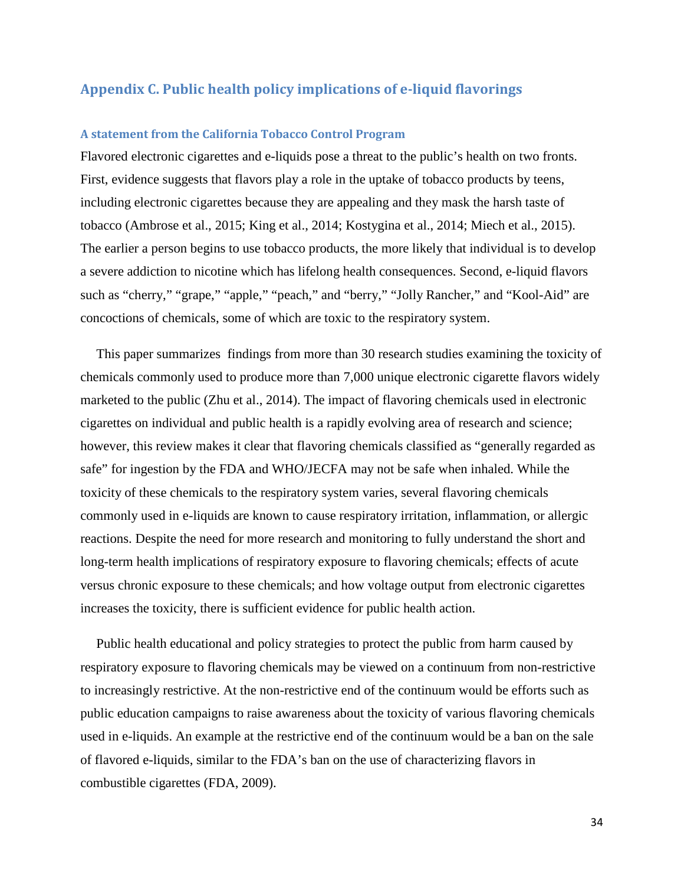## <span id="page-33-0"></span>**Appendix C. Public health policy implications of e-liquid flavorings**

#### **A statement from the California Tobacco Control Program**

Flavored electronic cigarettes and e-liquids pose a threat to the public's health on two fronts. First, evidence suggests that flavors play a role in the uptake of tobacco products by teens, including electronic cigarettes because they are appealing and they mask the harsh taste of tobacco (Ambrose et al., 2015; King et al., 2014; Kostygina et al., 2014; Miech et al., 2015). The earlier a person begins to use tobacco products, the more likely that individual is to develop a severe addiction to nicotine which has lifelong health consequences. Second, e-liquid flavors such as "cherry," "grape," "apple," "peach," and "berry," "Jolly Rancher," and "Kool-Aid" are concoctions of chemicals, some of which are toxic to the respiratory system.

This paper summarizes findings from more than 30 research studies examining the toxicity of chemicals commonly used to produce more than 7,000 unique electronic cigarette flavors widely marketed to the public (Zhu et al., 2014). The impact of flavoring chemicals used in electronic cigarettes on individual and public health is a rapidly evolving area of research and science; however, this review makes it clear that flavoring chemicals classified as "generally regarded as safe" for ingestion by the FDA and WHO/JECFA may not be safe when inhaled. While the toxicity of these chemicals to the respiratory system varies, several flavoring chemicals commonly used in e-liquids are known to cause respiratory irritation, inflammation, or allergic reactions. Despite the need for more research and monitoring to fully understand the short and long-term health implications of respiratory exposure to flavoring chemicals; effects of acute versus chronic exposure to these chemicals; and how voltage output from electronic cigarettes increases the toxicity, there is sufficient evidence for public health action.

Public health educational and policy strategies to protect the public from harm caused by respiratory exposure to flavoring chemicals may be viewed on a continuum from non-restrictive to increasingly restrictive. At the non-restrictive end of the continuum would be efforts such as public education campaigns to raise awareness about the toxicity of various flavoring chemicals used in e-liquids. An example at the restrictive end of the continuum would be a ban on the sale of flavored e-liquids, similar to the FDA's ban on the use of characterizing flavors in combustible cigarettes (FDA, 2009).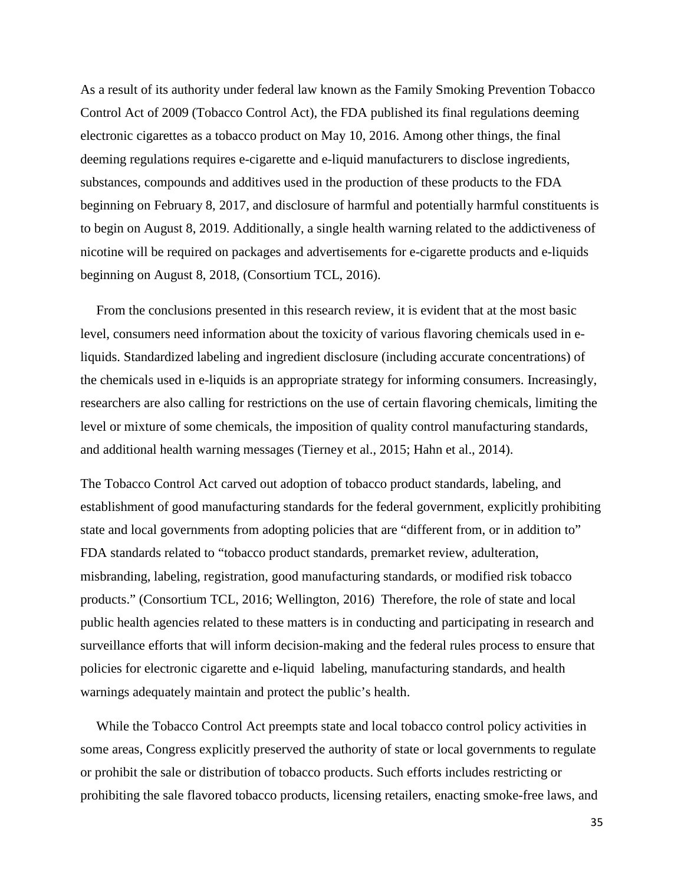As a result of its authority under federal law known as the Family Smoking Prevention Tobacco Control Act of 2009 (Tobacco Control Act), the FDA published its final regulations deeming electronic cigarettes as a tobacco product on May 10, 2016. Among other things, the final deeming regulations requires e-cigarette and e-liquid manufacturers to disclose ingredients, substances, compounds and additives used in the production of these products to the FDA beginning on February 8, 2017, and disclosure of harmful and potentially harmful constituents is to begin on August 8, 2019. Additionally, a single health warning related to the addictiveness of nicotine will be required on packages and advertisements for e-cigarette products and e-liquids beginning on August 8, 2018, (Consortium TCL, 2016).

From the conclusions presented in this research review, it is evident that at the most basic level, consumers need information about the toxicity of various flavoring chemicals used in eliquids. Standardized labeling and ingredient disclosure (including accurate concentrations) of the chemicals used in e-liquids is an appropriate strategy for informing consumers. Increasingly, researchers are also calling for restrictions on the use of certain flavoring chemicals, limiting the level or mixture of some chemicals, the imposition of quality control manufacturing standards, and additional health warning messages (Tierney et al., 2015; Hahn et al., 2014).

The Tobacco Control Act carved out adoption of tobacco product standards, labeling, and establishment of good manufacturing standards for the federal government, explicitly prohibiting state and local governments from adopting policies that are "different from, or in addition to" FDA standards related to "tobacco product standards, premarket review, adulteration, misbranding, labeling, registration, good manufacturing standards, or modified risk tobacco products." (Consortium TCL, 2016; Wellington, 2016) Therefore, the role of state and local public health agencies related to these matters is in conducting and participating in research and surveillance efforts that will inform decision-making and the federal rules process to ensure that policies for electronic cigarette and e-liquid labeling, manufacturing standards, and health warnings adequately maintain and protect the public's health.

While the Tobacco Control Act preempts state and local tobacco control policy activities in some areas, Congress explicitly preserved the authority of state or local governments to regulate or prohibit the sale or distribution of tobacco products. Such efforts includes restricting or prohibiting the sale flavored tobacco products, licensing retailers, enacting smoke-free laws, and